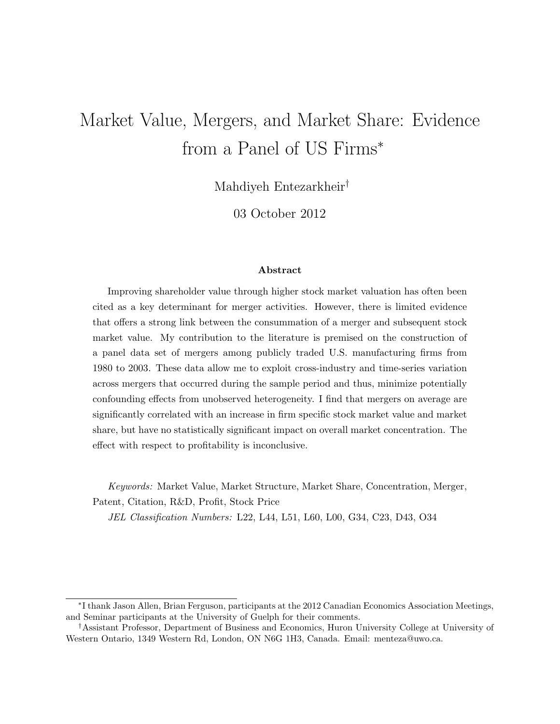# Market Value, Mergers, and Market Share: Evidence from a Panel of US Firms<sup>\*</sup>

Mahdiyeh Entezarkheir†

03 October 2012

#### Abstract

Improving shareholder value through higher stock market valuation has often been cited as a key determinant for merger activities. However, there is limited evidence that offers a strong link between the consummation of a merger and subsequent stock market value. My contribution to the literature is premised on the construction of a panel data set of mergers among publicly traded U.S. manufacturing firms from 1980 to 2003. These data allow me to exploit cross-industry and time-series variation across mergers that occurred during the sample period and thus, minimize potentially confounding effects from unobserved heterogeneity. I find that mergers on average are significantly correlated with an increase in firm specific stock market value and market share, but have no statistically significant impact on overall market concentration. The effect with respect to profitability is inconclusive.

Keywords: Market Value, Market Structure, Market Share, Concentration, Merger, Patent, Citation, R&D, Profit, Stock Price

JEL Classification Numbers: L22, L44, L51, L60, L00, G34, C23, D43, O34

<sup>∗</sup> I thank Jason Allen, Brian Ferguson, participants at the 2012 Canadian Economics Association Meetings, and Seminar participants at the University of Guelph for their comments.

<sup>†</sup>Assistant Professor, Department of Business and Economics, Huron University College at University of Western Ontario, 1349 Western Rd, London, ON N6G 1H3, Canada. Email: menteza@uwo.ca.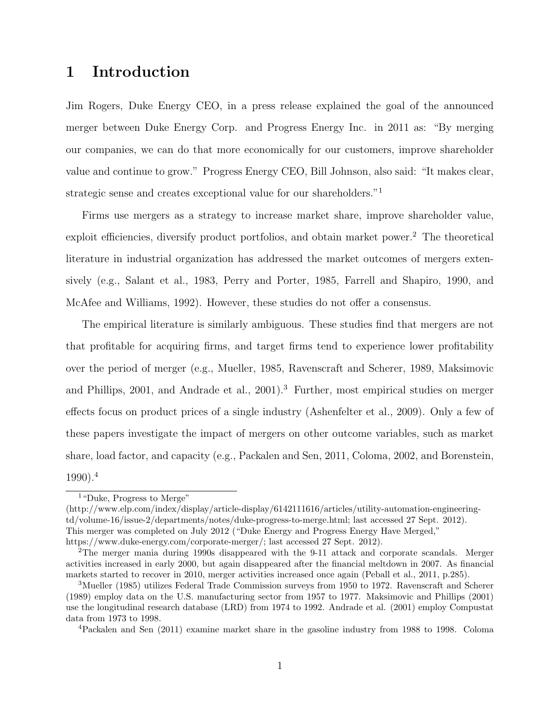## 1 Introduction

Jim Rogers, Duke Energy CEO, in a press release explained the goal of the announced merger between Duke Energy Corp. and Progress Energy Inc. in 2011 as: "By merging our companies, we can do that more economically for our customers, improve shareholder value and continue to grow." Progress Energy CEO, Bill Johnson, also said: "It makes clear, strategic sense and creates exceptional value for our shareholders."<sup>1</sup>

Firms use mergers as a strategy to increase market share, improve shareholder value, exploit efficiencies, diversify product portfolios, and obtain market power.<sup>2</sup> The theoretical literature in industrial organization has addressed the market outcomes of mergers extensively (e.g., Salant et al., 1983, Perry and Porter, 1985, Farrell and Shapiro, 1990, and McAfee and Williams, 1992). However, these studies do not offer a consensus.

The empirical literature is similarly ambiguous. These studies find that mergers are not that profitable for acquiring firms, and target firms tend to experience lower profitability over the period of merger (e.g., Mueller, 1985, Ravenscraft and Scherer, 1989, Maksimovic and Phillips, 2001, and Andrade et al., 2001).<sup>3</sup> Further, most empirical studies on merger effects focus on product prices of a single industry (Ashenfelter et al., 2009). Only a few of these papers investigate the impact of mergers on other outcome variables, such as market share, load factor, and capacity (e.g., Packalen and Sen, 2011, Coloma, 2002, and Borenstein,  $1990$ ).<sup>4</sup>

<sup>1</sup>"Duke, Progress to Merge"

<sup>(</sup>http://www.elp.com/index/display/article-display/6142111616/articles/utility-automation-engineeringtd/volume-16/issue-2/departments/notes/duke-progress-to-merge.html; last accessed 27 Sept. 2012). This merger was completed on July 2012 ("Duke Energy and Progress Energy Have Merged," https://www.duke-energy.com/corporate-merger/; last accessed 27 Sept. 2012).

<sup>2</sup>The merger mania during 1990s disappeared with the 9-11 attack and corporate scandals. Merger activities increased in early 2000, but again disappeared after the financial meltdown in 2007. As financial markets started to recover in 2010, merger activities increased once again (Peball et al., 2011, p.285).

<sup>3</sup>Mueller (1985) utilizes Federal Trade Commission surveys from 1950 to 1972. Ravenscraft and Scherer (1989) employ data on the U.S. manufacturing sector from 1957 to 1977. Maksimovic and Phillips (2001) use the longitudinal research database (LRD) from 1974 to 1992. Andrade et al. (2001) employ Compustat data from 1973 to 1998.

<sup>4</sup>Packalen and Sen (2011) examine market share in the gasoline industry from 1988 to 1998. Coloma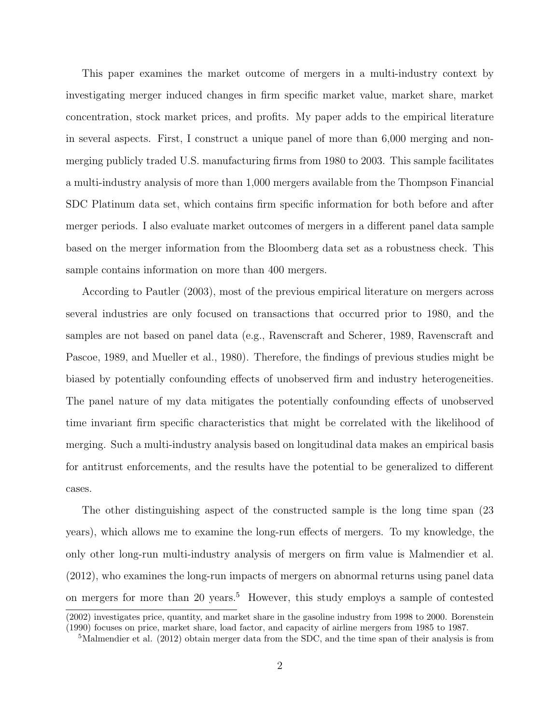This paper examines the market outcome of mergers in a multi-industry context by investigating merger induced changes in firm specific market value, market share, market concentration, stock market prices, and profits. My paper adds to the empirical literature in several aspects. First, I construct a unique panel of more than 6,000 merging and nonmerging publicly traded U.S. manufacturing firms from 1980 to 2003. This sample facilitates a multi-industry analysis of more than 1,000 mergers available from the Thompson Financial SDC Platinum data set, which contains firm specific information for both before and after merger periods. I also evaluate market outcomes of mergers in a different panel data sample based on the merger information from the Bloomberg data set as a robustness check. This sample contains information on more than 400 mergers.

According to Pautler (2003), most of the previous empirical literature on mergers across several industries are only focused on transactions that occurred prior to 1980, and the samples are not based on panel data (e.g., Ravenscraft and Scherer, 1989, Ravenscraft and Pascoe, 1989, and Mueller et al., 1980). Therefore, the findings of previous studies might be biased by potentially confounding effects of unobserved firm and industry heterogeneities. The panel nature of my data mitigates the potentially confounding effects of unobserved time invariant firm specific characteristics that might be correlated with the likelihood of merging. Such a multi-industry analysis based on longitudinal data makes an empirical basis for antitrust enforcements, and the results have the potential to be generalized to different cases.

The other distinguishing aspect of the constructed sample is the long time span (23 years), which allows me to examine the long-run effects of mergers. To my knowledge, the only other long-run multi-industry analysis of mergers on firm value is Malmendier et al. (2012), who examines the long-run impacts of mergers on abnormal returns using panel data on mergers for more than 20 years.<sup>5</sup> However, this study employs a sample of contested

<sup>(2002)</sup> investigates price, quantity, and market share in the gasoline industry from 1998 to 2000. Borenstein (1990) focuses on price, market share, load factor, and capacity of airline mergers from 1985 to 1987.

<sup>&</sup>lt;sup>5</sup>Malmendier et al. (2012) obtain merger data from the SDC, and the time span of their analysis is from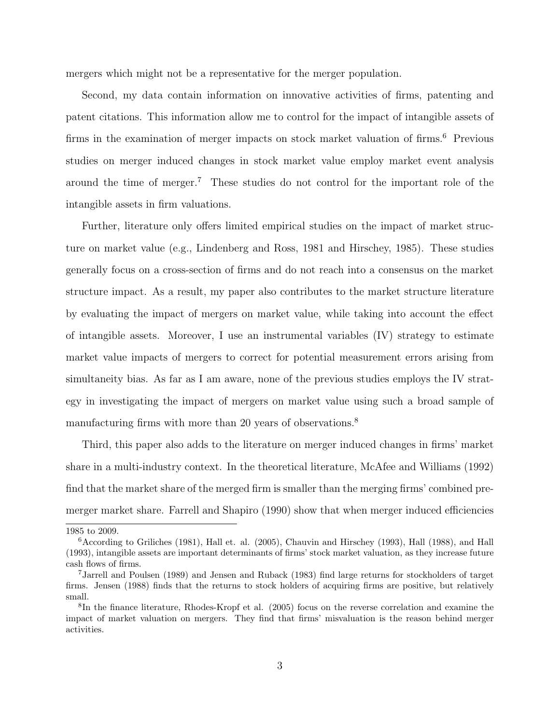mergers which might not be a representative for the merger population.

Second, my data contain information on innovative activities of firms, patenting and patent citations. This information allow me to control for the impact of intangible assets of firms in the examination of merger impacts on stock market valuation of firms.<sup>6</sup> Previous studies on merger induced changes in stock market value employ market event analysis around the time of merger.<sup>7</sup> These studies do not control for the important role of the intangible assets in firm valuations.

Further, literature only offers limited empirical studies on the impact of market structure on market value (e.g., Lindenberg and Ross, 1981 and Hirschey, 1985). These studies generally focus on a cross-section of firms and do not reach into a consensus on the market structure impact. As a result, my paper also contributes to the market structure literature by evaluating the impact of mergers on market value, while taking into account the effect of intangible assets. Moreover, I use an instrumental variables (IV) strategy to estimate market value impacts of mergers to correct for potential measurement errors arising from simultaneity bias. As far as I am aware, none of the previous studies employs the IV strategy in investigating the impact of mergers on market value using such a broad sample of manufacturing firms with more than 20 years of observations.<sup>8</sup>

Third, this paper also adds to the literature on merger induced changes in firms' market share in a multi-industry context. In the theoretical literature, McAfee and Williams (1992) find that the market share of the merged firm is smaller than the merging firms' combined premerger market share. Farrell and Shapiro (1990) show that when merger induced efficiencies

<sup>1985</sup> to 2009.

 $6$ According to Griliches (1981), Hall et. al. (2005), Chauvin and Hirschey (1993), Hall (1988), and Hall (1993), intangible assets are important determinants of firms' stock market valuation, as they increase future cash flows of firms.

<sup>7</sup>Jarrell and Poulsen (1989) and Jensen and Ruback (1983) find large returns for stockholders of target firms. Jensen (1988) finds that the returns to stock holders of acquiring firms are positive, but relatively small.

<sup>8</sup> In the finance literature, Rhodes-Kropf et al. (2005) focus on the reverse correlation and examine the impact of market valuation on mergers. They find that firms' misvaluation is the reason behind merger activities.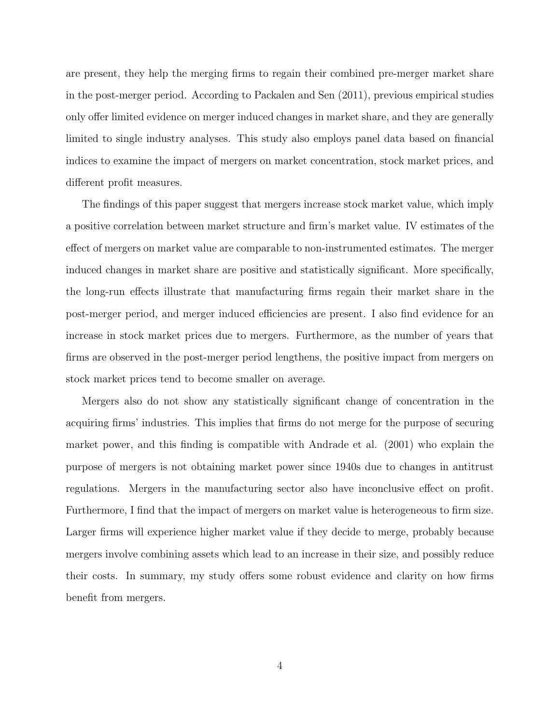are present, they help the merging firms to regain their combined pre-merger market share in the post-merger period. According to Packalen and Sen (2011), previous empirical studies only offer limited evidence on merger induced changes in market share, and they are generally limited to single industry analyses. This study also employs panel data based on financial indices to examine the impact of mergers on market concentration, stock market prices, and different profit measures.

The findings of this paper suggest that mergers increase stock market value, which imply a positive correlation between market structure and firm's market value. IV estimates of the effect of mergers on market value are comparable to non-instrumented estimates. The merger induced changes in market share are positive and statistically significant. More specifically, the long-run effects illustrate that manufacturing firms regain their market share in the post-merger period, and merger induced efficiencies are present. I also find evidence for an increase in stock market prices due to mergers. Furthermore, as the number of years that firms are observed in the post-merger period lengthens, the positive impact from mergers on stock market prices tend to become smaller on average.

Mergers also do not show any statistically significant change of concentration in the acquiring firms' industries. This implies that firms do not merge for the purpose of securing market power, and this finding is compatible with Andrade et al. (2001) who explain the purpose of mergers is not obtaining market power since 1940s due to changes in antitrust regulations. Mergers in the manufacturing sector also have inconclusive effect on profit. Furthermore, I find that the impact of mergers on market value is heterogeneous to firm size. Larger firms will experience higher market value if they decide to merge, probably because mergers involve combining assets which lead to an increase in their size, and possibly reduce their costs. In summary, my study offers some robust evidence and clarity on how firms benefit from mergers.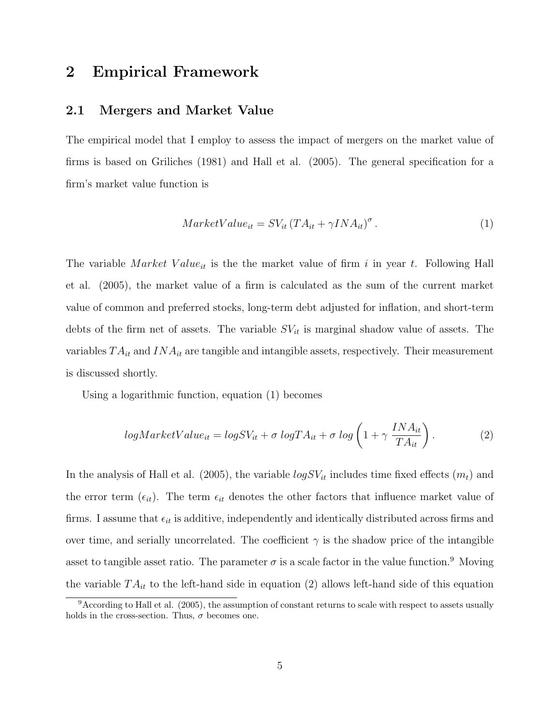### 2 Empirical Framework

#### 2.1 Mergers and Market Value

The empirical model that I employ to assess the impact of mergers on the market value of firms is based on Griliches (1981) and Hall et al. (2005). The general specification for a firm's market value function is

$$
MarketValue_{it} = SV_{it} (TA_{it} + \gamma INA_{it})^{\sigma}.
$$
\n(1)

The variable *Market Value<sub>it</sub>* is the the market value of firm i in year t. Following Hall et al. (2005), the market value of a firm is calculated as the sum of the current market value of common and preferred stocks, long-term debt adjusted for inflation, and short-term debts of the firm net of assets. The variable  $SV_{it}$  is marginal shadow value of assets. The variables  $TA_{it}$  and  $INA_{it}$  are tangible and intangible assets, respectively. Their measurement is discussed shortly.

Using a logarithmic function, equation (1) becomes

$$
logMarketValue_{it} = logSV_{it} + \sigma logTA_{it} + \sigma log\left(1 + \gamma \frac{INA_{it}}{TA_{it}}\right). \tag{2}
$$

In the analysis of Hall et al. (2005), the variable  $logSV_{it}$  includes time fixed effects  $(m_t)$  and the error term  $(\epsilon_{it})$ . The term  $\epsilon_{it}$  denotes the other factors that influence market value of firms. I assume that  $\epsilon_{it}$  is additive, independently and identically distributed across firms and over time, and serially uncorrelated. The coefficient  $\gamma$  is the shadow price of the intangible asset to tangible asset ratio. The parameter  $\sigma$  is a scale factor in the value function.<sup>9</sup> Moving the variable  $TA_{it}$  to the left-hand side in equation (2) allows left-hand side of this equation

 $9$ According to Hall et al. (2005), the assumption of constant returns to scale with respect to assets usually holds in the cross-section. Thus,  $\sigma$  becomes one.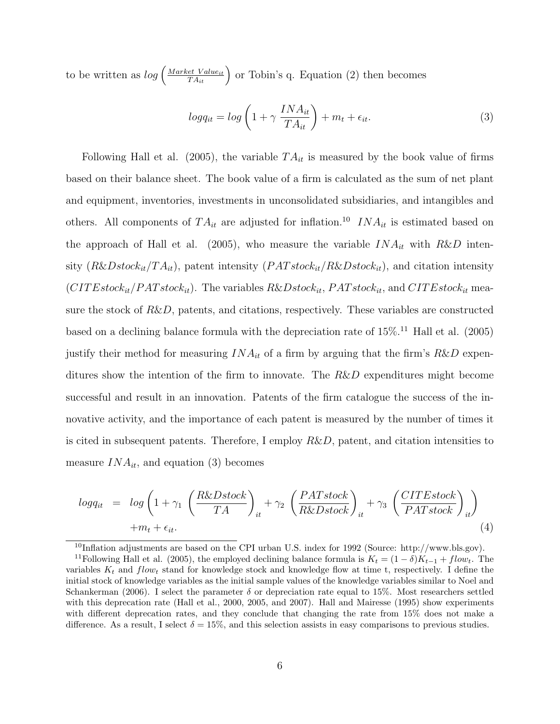to be written as  $log\left(\frac{Market\ Value_{it}}{TA_{it}}\right)$  or Tobin's q. Equation (2) then becomes

$$
logq_{it} = log\left(1 + \gamma \frac{INA_{it}}{TA_{it}}\right) + m_t + \epsilon_{it}.
$$
\n(3)

Following Hall et al. (2005), the variable  $TA_{it}$  is measured by the book value of firms based on their balance sheet. The book value of a firm is calculated as the sum of net plant and equipment, inventories, investments in unconsolidated subsidiaries, and intangibles and others. All components of  $TA_{it}$  are adjusted for inflation.<sup>10</sup>  $INA_{it}$  is estimated based on the approach of Hall et al. (2005), who measure the variable  $INA_{it}$  with  $R\&D$  intensity  $(R\&Dstock_{it}/TA_{it})$ , patent intensity  $(PATstock_{it}/R\&Dstock_{it})$ , and citation intensity  $(CITE stock_{it}/PATstock_{it})$ . The variables  $R\&Dstock_{it}$ ,  $PATstock_{it}$ , and  $CITEstock_{it}$  measure the stock of  $R\&D$ , patents, and citations, respectively. These variables are constructed based on a declining balance formula with the depreciation rate of  $15\%$ .<sup>11</sup> Hall et al. (2005) justify their method for measuring  $INA_{it}$  of a firm by arguing that the firm's  $R\&D$  expenditures show the intention of the firm to innovate. The R&D expenditures might become successful and result in an innovation. Patents of the firm catalogue the success of the innovative activity, and the importance of each patent is measured by the number of times it is cited in subsequent patents. Therefore, I employ  $R\&D$ , patent, and citation intensities to measure  $INA_{it}$ , and equation (3) becomes

$$
log q_{it} = log \left( 1 + \gamma_1 \left( \frac{R \& Dstock}{TA} \right)_{it} + \gamma_2 \left( \frac{PATstock}{R \& Dstock} \right)_{it} + \gamma_3 \left( \frac{CITEstock}{PATstock} \right)_{it} \right) + m_t + \epsilon_{it}.
$$
\n(4)

 $^{10}$ Inflation adjustments are based on the CPI urban U.S. index for 1992 (Source: http://www.bls.gov). <sup>11</sup>Following Hall et al. (2005), the employed declining balance formula is  $K_t = (1 - \delta)K_{t-1} + flow_t$ . The variables  $K_t$  and  $flow_t$  stand for knowledge stock and knowledge flow at time t, respectively. I define the initial stock of knowledge variables as the initial sample values of the knowledge variables similar to Noel and Schankerman (2006). I select the parameter  $\delta$  or depreciation rate equal to 15%. Most researchers settled with this deprecation rate (Hall et al., 2000, 2005, and 2007). Hall and Mairesse (1995) show experiments with different deprecation rates, and they conclude that changing the rate from 15% does not make a difference. As a result, I select  $\delta = 15\%$ , and this selection assists in easy comparisons to previous studies.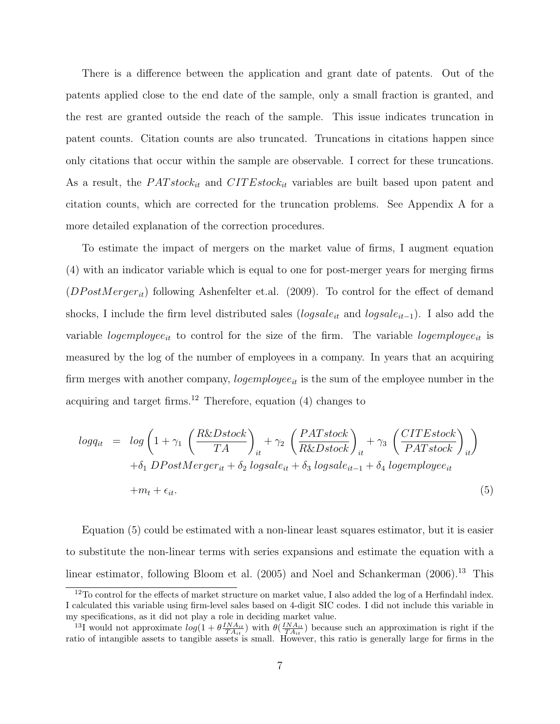There is a difference between the application and grant date of patents. Out of the patents applied close to the end date of the sample, only a small fraction is granted, and the rest are granted outside the reach of the sample. This issue indicates truncation in patent counts. Citation counts are also truncated. Truncations in citations happen since only citations that occur within the sample are observable. I correct for these truncations. As a result, the  $PATstock_{it}$  and  $CITEstock_{it}$  variables are built based upon patent and citation counts, which are corrected for the truncation problems. See Appendix A for a more detailed explanation of the correction procedures.

To estimate the impact of mergers on the market value of firms, I augment equation (4) with an indicator variable which is equal to one for post-merger years for merging firms  $(DPostMerge_{it})$  following Ashenfelter et.al. (2009). To control for the effect of demand shocks, I include the firm level distributed sales ( $log sale_{it}$  and  $log sale_{it-1})$ . I also add the variable  $logemplope_{it}$  to control for the size of the firm. The variable  $logemplope_{it}$  is measured by the log of the number of employees in a company. In years that an acquiring firm merges with another company,  $logemplope_{it}$  is the sum of the employee number in the acquiring and target firms.<sup>12</sup> Therefore, equation  $(4)$  changes to

$$
logq_{it} = log \left( 1 + \gamma_1 \left( \frac{R\&Dstock}{TA} \right)_{it} + \gamma_2 \left( \frac{PATstock}{R\&Dstock} \right)_{it} + \gamma_3 \left( \frac{CITEstock}{PATstock} \right)_{it} \right) + \delta_1 DPostMerge_{it} + \delta_2 log sale_{it} + \delta_3 log sale_{it-1} + \delta_4 logemployee_{it} + m_t + \epsilon_{it}.
$$
\n
$$
(5)
$$

Equation (5) could be estimated with a non-linear least squares estimator, but it is easier to substitute the non-linear terms with series expansions and estimate the equation with a linear estimator, following Bloom et al. (2005) and Noel and Schankerman (2006).<sup>13</sup> This

<sup>&</sup>lt;sup>12</sup>To control for the effects of market structure on market value, I also added the log of a Herfindahl index. I calculated this variable using firm-level sales based on 4-digit SIC codes. I did not include this variable in my specifications, as it did not play a role in deciding market value.

<sup>&</sup>lt;sup>13</sup>I would not approximate  $log(1 + \theta \frac{INA_{it}}{TA_{it}})$  with  $\theta(\frac{INA_{it}}{TA_{it}})$  because such an approximation is right if the ratio of intangible assets to tangible assets is small. However, this ratio is generally large for firms in the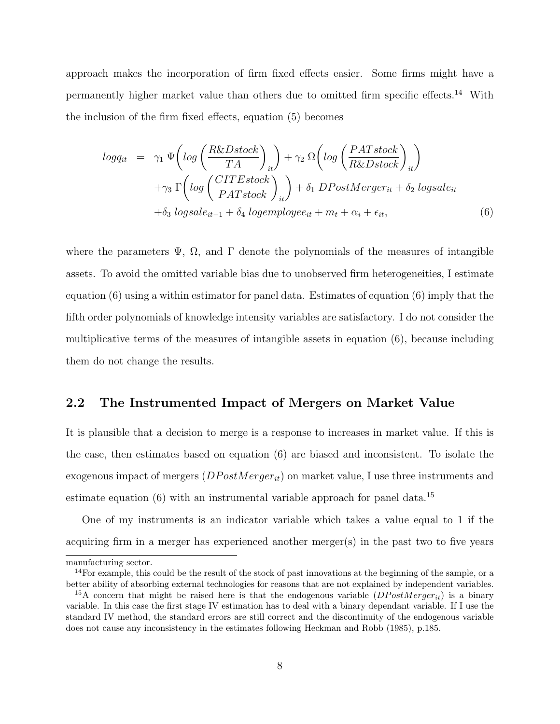approach makes the incorporation of firm fixed effects easier. Some firms might have a permanently higher market value than others due to omitted firm specific effects.<sup>14</sup> With the inclusion of the firm fixed effects, equation (5) becomes

$$
logq_{it} = \gamma_1 \Psi \left( log \left( \frac{R\&Dstock}{TA} \right)_{it} \right) + \gamma_2 \Omega \left( log \left( \frac{PATstock}{R\&Dstock} \right)_{it} \right) + \gamma_3 \Gamma \left( log \left( \frac{CITEstock}{PATstock} \right)_{it} \right) + \delta_1 DPostMerge_{it} + \delta_2 log sale_{it} + \delta_3 log sale_{it-1} + \delta_4 logemployee_{it} + m_t + \alpha_i + \epsilon_{it},
$$
\n(6)

where the parameters  $\Psi$ ,  $\Omega$ , and  $\Gamma$  denote the polynomials of the measures of intangible assets. To avoid the omitted variable bias due to unobserved firm heterogeneities, I estimate equation (6) using a within estimator for panel data. Estimates of equation (6) imply that the fifth order polynomials of knowledge intensity variables are satisfactory. I do not consider the multiplicative terms of the measures of intangible assets in equation (6), because including them do not change the results.

#### 2.2 The Instrumented Impact of Mergers on Market Value

It is plausible that a decision to merge is a response to increases in market value. If this is the case, then estimates based on equation (6) are biased and inconsistent. To isolate the exogenous impact of mergers  $(DPostMerge_{it})$  on market value, I use three instruments and estimate equation  $(6)$  with an instrumental variable approach for panel data.<sup>15</sup>

One of my instruments is an indicator variable which takes a value equal to 1 if the acquiring firm in a merger has experienced another merger(s) in the past two to five years

manufacturing sector.

 $14$ For example, this could be the result of the stock of past innovations at the beginning of the sample, or a better ability of absorbing external technologies for reasons that are not explained by independent variables.

<sup>&</sup>lt;sup>15</sup>A concern that might be raised here is that the endogenous variable (*DP* ostMerger<sub>it</sub>) is a binary variable. In this case the first stage IV estimation has to deal with a binary dependant variable. If I use the standard IV method, the standard errors are still correct and the discontinuity of the endogenous variable does not cause any inconsistency in the estimates following Heckman and Robb (1985), p.185.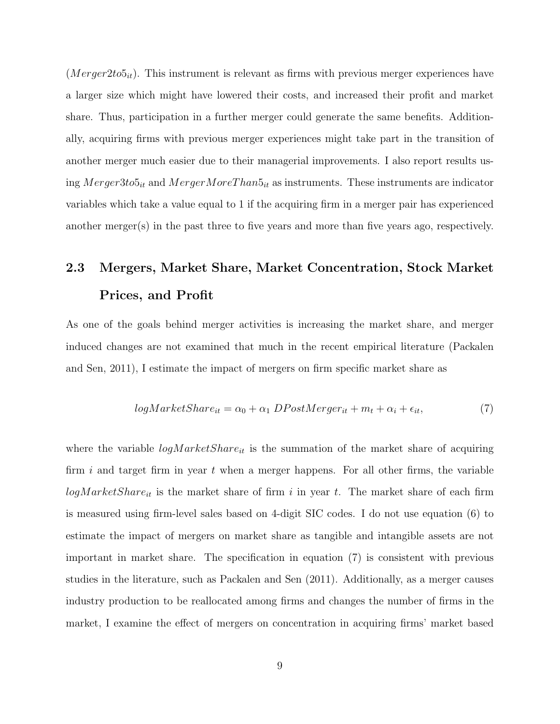(*Merger*2to5<sub>it</sub>). This instrument is relevant as firms with previous merger experiences have a larger size which might have lowered their costs, and increased their profit and market share. Thus, participation in a further merger could generate the same benefits. Additionally, acquiring firms with previous merger experiences might take part in the transition of another merger much easier due to their managerial improvements. I also report results using  $Merge5_{it}$  and  $Merge7_{in}$   $MoreThen5_{it}$  as instruments. These instruments are indicator variables which take a value equal to 1 if the acquiring firm in a merger pair has experienced another merger(s) in the past three to five years and more than five years ago, respectively.

## 2.3 Mergers, Market Share, Market Concentration, Stock Market Prices, and Profit

As one of the goals behind merger activities is increasing the market share, and merger induced changes are not examined that much in the recent empirical literature (Packalen and Sen, 2011), I estimate the impact of mergers on firm specific market share as

$$
logMarketShare_{it} = \alpha_0 + \alpha_1 \ DPostMerge_{it} + m_t + \alpha_i + \epsilon_{it}, \tag{7}
$$

where the variable  $logMarketShare_{it}$  is the summation of the market share of acquiring firm i and target firm in year t when a merger happens. For all other firms, the variable  $logMarketShare_{it}$  is the market share of firm i in year t. The market share of each firm is measured using firm-level sales based on 4-digit SIC codes. I do not use equation (6) to estimate the impact of mergers on market share as tangible and intangible assets are not important in market share. The specification in equation (7) is consistent with previous studies in the literature, such as Packalen and Sen (2011). Additionally, as a merger causes industry production to be reallocated among firms and changes the number of firms in the market, I examine the effect of mergers on concentration in acquiring firms' market based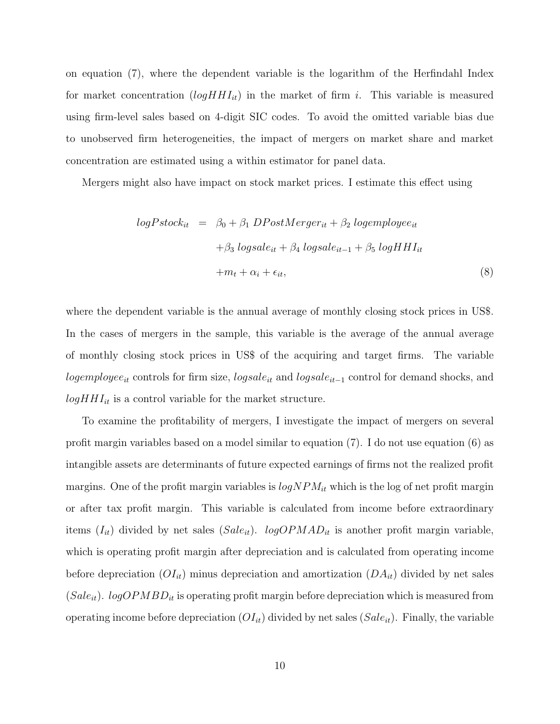on equation (7), where the dependent variable is the logarithm of the Herfindahl Index for market concentration  $(logHHI_{it})$  in the market of firm i. This variable is measured using firm-level sales based on 4-digit SIC codes. To avoid the omitted variable bias due to unobserved firm heterogeneities, the impact of mergers on market share and market concentration are estimated using a within estimator for panel data.

Mergers might also have impact on stock market prices. I estimate this effect using

$$
logPstock_{it} = \beta_0 + \beta_1 \ DPostMerge_{it} + \beta_2 \ logemployee_{it}
$$

$$
+ \beta_3 \ log sale_{it} + \beta_4 \ log sale_{it-1} + \beta_5 \ log HHI_{it}
$$

$$
+ m_t + \alpha_i + \epsilon_{it}, \tag{8}
$$

where the dependent variable is the annual average of monthly closing stock prices in US\$. In the cases of mergers in the sample, this variable is the average of the annual average of monthly closing stock prices in US\$ of the acquiring and target firms. The variable logemployee<sub>it</sub> controls for firm size, logsale<sub>it</sub> and logsale<sub>it−1</sub> control for demand shocks, and  $logHHI_{it}$  is a control variable for the market structure.

To examine the profitability of mergers, I investigate the impact of mergers on several profit margin variables based on a model similar to equation (7). I do not use equation (6) as intangible assets are determinants of future expected earnings of firms not the realized profit margins. One of the profit margin variables is  $logNPM_{it}$  which is the log of net profit margin or after tax profit margin. This variable is calculated from income before extraordinary items  $(I_{it})$  divided by net sales  $(Sale_{it})$ .  $logOPMAD_{it}$  is another profit margin variable, which is operating profit margin after depreciation and is calculated from operating income before depreciation  $(OI_{it})$  minus depreciation and amortization  $(DA_{it})$  divided by net sales  $(Sale_{it})$ .  $logOPMBD_{it}$  is operating profit margin before depreciation which is measured from operating income before depreciation  $(OI_{it})$  divided by net sales  $(Sale_{it})$ . Finally, the variable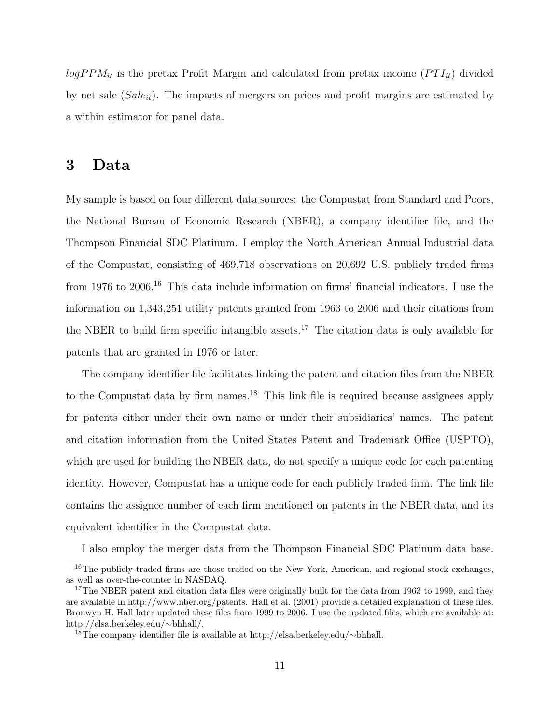$logPPM_{it}$  is the pretax Profit Margin and calculated from pretax income  $(PTI_{it})$  divided by net sale  $(Sale_{it})$ . The impacts of mergers on prices and profit margins are estimated by a within estimator for panel data.

## 3 Data

My sample is based on four different data sources: the Compustat from Standard and Poors, the National Bureau of Economic Research (NBER), a company identifier file, and the Thompson Financial SDC Platinum. I employ the North American Annual Industrial data of the Compustat, consisting of 469,718 observations on 20,692 U.S. publicly traded firms from 1976 to 2006.<sup>16</sup> This data include information on firms' financial indicators. I use the information on 1,343,251 utility patents granted from 1963 to 2006 and their citations from the NBER to build firm specific intangible assets.<sup>17</sup> The citation data is only available for patents that are granted in 1976 or later.

The company identifier file facilitates linking the patent and citation files from the NBER to the Compustat data by firm names.<sup>18</sup> This link file is required because assignees apply for patents either under their own name or under their subsidiaries' names. The patent and citation information from the United States Patent and Trademark Office (USPTO), which are used for building the NBER data, do not specify a unique code for each patenting identity. However, Compustat has a unique code for each publicly traded firm. The link file contains the assignee number of each firm mentioned on patents in the NBER data, and its equivalent identifier in the Compustat data.

I also employ the merger data from the Thompson Financial SDC Platinum data base.

 $16$ The publicly traded firms are those traded on the New York, American, and regional stock exchanges, as well as over-the-counter in NASDAQ.

<sup>&</sup>lt;sup>17</sup>The NBER patent and citation data files were originally built for the data from 1963 to 1999, and they are available in http://www.nber.org/patents. Hall et al. (2001) provide a detailed explanation of these files. Bronwyn H. Hall later updated these files from 1999 to 2006. I use the updated files, which are available at: http://elsa.berkeley.edu/∼bhhall/.

<sup>18</sup>The company identifier file is available at http://elsa.berkeley.edu/∼bhhall.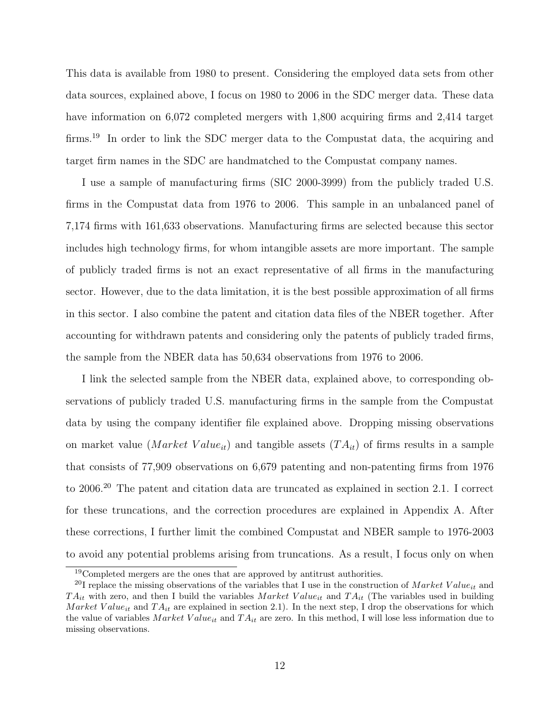This data is available from 1980 to present. Considering the employed data sets from other data sources, explained above, I focus on 1980 to 2006 in the SDC merger data. These data have information on 6,072 completed mergers with 1,800 acquiring firms and 2,414 target firms.<sup>19</sup> In order to link the SDC merger data to the Compustat data, the acquiring and target firm names in the SDC are handmatched to the Compustat company names.

I use a sample of manufacturing firms (SIC 2000-3999) from the publicly traded U.S. firms in the Compustat data from 1976 to 2006. This sample in an unbalanced panel of 7,174 firms with 161,633 observations. Manufacturing firms are selected because this sector includes high technology firms, for whom intangible assets are more important. The sample of publicly traded firms is not an exact representative of all firms in the manufacturing sector. However, due to the data limitation, it is the best possible approximation of all firms in this sector. I also combine the patent and citation data files of the NBER together. After accounting for withdrawn patents and considering only the patents of publicly traded firms, the sample from the NBER data has 50,634 observations from 1976 to 2006.

I link the selected sample from the NBER data, explained above, to corresponding observations of publicly traded U.S. manufacturing firms in the sample from the Compustat data by using the company identifier file explained above. Dropping missing observations on market value (*Market Value<sub>it</sub>*) and tangible assets  $(T A_{it})$  of firms results in a sample that consists of 77,909 observations on 6,679 patenting and non-patenting firms from 1976 to 2006.<sup>20</sup> The patent and citation data are truncated as explained in section 2.1. I correct for these truncations, and the correction procedures are explained in Appendix A. After these corrections, I further limit the combined Compustat and NBER sample to 1976-2003 to avoid any potential problems arising from truncations. As a result, I focus only on when

<sup>19</sup>Completed mergers are the ones that are approved by antitrust authorities.

<sup>&</sup>lt;sup>20</sup>I replace the missing observations of the variables that I use in the construction of  $Market~Value_{it}$  and  $TA_{it}$  with zero, and then I build the variables Market Value<sub>it</sub> and  $TA_{it}$  (The variables used in building Market Value<sub>it</sub> and  $TA_{it}$  are explained in section 2.1). In the next step, I drop the observations for which the value of variables  $Market\ Value_{it}$  and  $TA_{it}$  are zero. In this method, I will lose less information due to missing observations.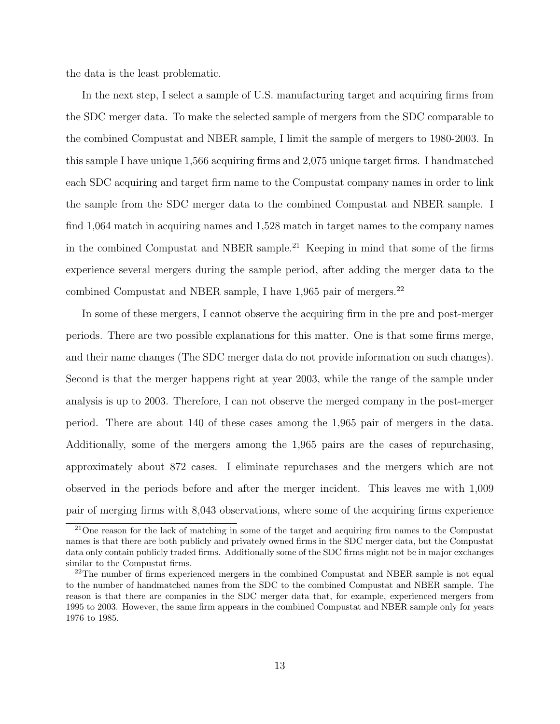the data is the least problematic.

In the next step, I select a sample of U.S. manufacturing target and acquiring firms from the SDC merger data. To make the selected sample of mergers from the SDC comparable to the combined Compustat and NBER sample, I limit the sample of mergers to 1980-2003. In this sample I have unique 1,566 acquiring firms and 2,075 unique target firms. I handmatched each SDC acquiring and target firm name to the Compustat company names in order to link the sample from the SDC merger data to the combined Compustat and NBER sample. I find 1,064 match in acquiring names and 1,528 match in target names to the company names in the combined Compustat and NBER sample.<sup>21</sup> Keeping in mind that some of the firms experience several mergers during the sample period, after adding the merger data to the combined Compustat and NBER sample, I have 1,965 pair of mergers.<sup>22</sup>

In some of these mergers, I cannot observe the acquiring firm in the pre and post-merger periods. There are two possible explanations for this matter. One is that some firms merge, and their name changes (The SDC merger data do not provide information on such changes). Second is that the merger happens right at year 2003, while the range of the sample under analysis is up to 2003. Therefore, I can not observe the merged company in the post-merger period. There are about 140 of these cases among the 1,965 pair of mergers in the data. Additionally, some of the mergers among the 1,965 pairs are the cases of repurchasing, approximately about 872 cases. I eliminate repurchases and the mergers which are not observed in the periods before and after the merger incident. This leaves me with 1,009 pair of merging firms with 8,043 observations, where some of the acquiring firms experience

<sup>&</sup>lt;sup>21</sup>One reason for the lack of matching in some of the target and acquiring firm names to the Compustat names is that there are both publicly and privately owned firms in the SDC merger data, but the Compustat data only contain publicly traded firms. Additionally some of the SDC firms might not be in major exchanges similar to the Compustat firms.

 $2<sup>22</sup>$ The number of firms experienced mergers in the combined Compustat and NBER sample is not equal to the number of handmatched names from the SDC to the combined Compustat and NBER sample. The reason is that there are companies in the SDC merger data that, for example, experienced mergers from 1995 to 2003. However, the same firm appears in the combined Compustat and NBER sample only for years 1976 to 1985.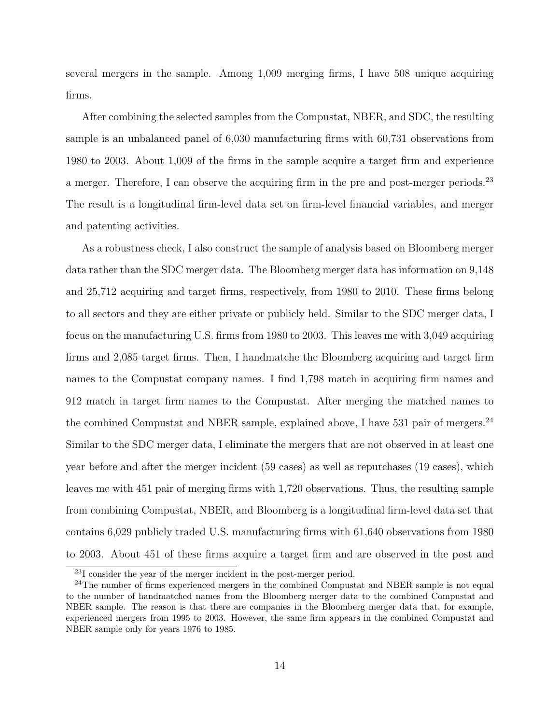several mergers in the sample. Among 1,009 merging firms, I have 508 unique acquiring firms.

After combining the selected samples from the Compustat, NBER, and SDC, the resulting sample is an unbalanced panel of 6,030 manufacturing firms with 60,731 observations from 1980 to 2003. About 1,009 of the firms in the sample acquire a target firm and experience a merger. Therefore, I can observe the acquiring firm in the pre and post-merger periods.<sup>23</sup> The result is a longitudinal firm-level data set on firm-level financial variables, and merger and patenting activities.

As a robustness check, I also construct the sample of analysis based on Bloomberg merger data rather than the SDC merger data. The Bloomberg merger data has information on 9,148 and 25,712 acquiring and target firms, respectively, from 1980 to 2010. These firms belong to all sectors and they are either private or publicly held. Similar to the SDC merger data, I focus on the manufacturing U.S. firms from 1980 to 2003. This leaves me with 3,049 acquiring firms and 2,085 target firms. Then, I handmatche the Bloomberg acquiring and target firm names to the Compustat company names. I find 1,798 match in acquiring firm names and 912 match in target firm names to the Compustat. After merging the matched names to the combined Compustat and NBER sample, explained above, I have 531 pair of mergers.<sup>24</sup> Similar to the SDC merger data, I eliminate the mergers that are not observed in at least one year before and after the merger incident (59 cases) as well as repurchases (19 cases), which leaves me with 451 pair of merging firms with 1,720 observations. Thus, the resulting sample from combining Compustat, NBER, and Bloomberg is a longitudinal firm-level data set that contains 6,029 publicly traded U.S. manufacturing firms with 61,640 observations from 1980 to 2003. About 451 of these firms acquire a target firm and are observed in the post and

<sup>23</sup>I consider the year of the merger incident in the post-merger period.

 $^{24}$ The number of firms experienced mergers in the combined Compustat and NBER sample is not equal to the number of handmatched names from the Bloomberg merger data to the combined Compustat and NBER sample. The reason is that there are companies in the Bloomberg merger data that, for example, experienced mergers from 1995 to 2003. However, the same firm appears in the combined Compustat and NBER sample only for years 1976 to 1985.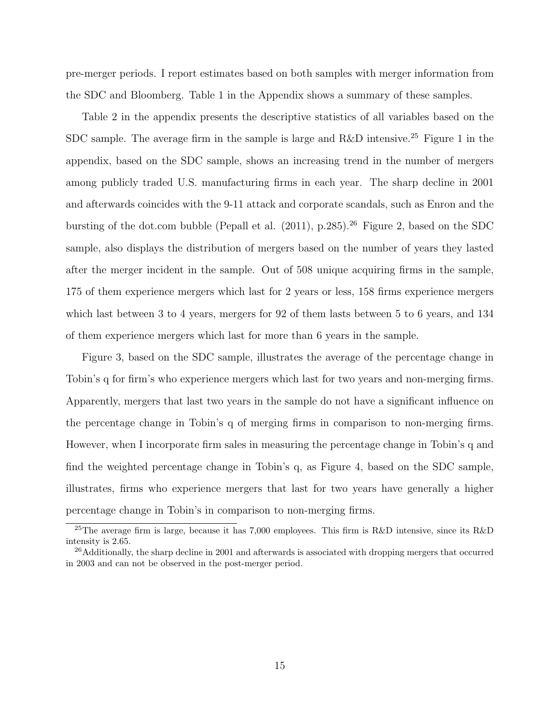pre-merger periods. I report estimates based on both samples with merger information from the SDC and Bloomberg. Table 1 in the Appendix shows a summary of these samples.

Table 2 in the appendix presents the descriptive statistics of all variables based on the SDC sample. The average firm in the sample is large and R&D intensive.<sup>25</sup> Figure 1 in the appendix, based on the SDC sample, shows an increasing trend in the number of mergers among publicly traded U.S. manufacturing firms in each year. The sharp decline in 2001 and afterwards coincides with the 9-11 attack and corporate scandals, such as Enron and the bursting of the dot.com bubble (Pepall et al.  $(2011)$ , p.285).<sup>26</sup> Figure 2, based on the SDC sample, also displays the distribution of mergers based on the number of years they lasted after the merger incident in the sample. Out of 508 unique acquiring firms in the sample, 175 of them experience mergers which last for 2 years or less, 158 firms experience mergers which last between 3 to 4 years, mergers for 92 of them lasts between 5 to 6 years, and 134 of them experience mergers which last for more than 6 years in the sample.

Figure 3, based on the SDC sample, illustrates the average of the percentage change in Tobin's q for firm's who experience mergers which last for two years and non-merging firms. Apparently, mergers that last two years in the sample do not have a significant influence on the percentage change in Tobin's q of merging firms in comparison to non-merging firms. However, when I incorporate firm sales in measuring the percentage change in Tobin's q and find the weighted percentage change in Tobin's q, as Figure 4, based on the SDC sample, illustrates, firms who experience mergers that last for two years have generally a higher percentage change in Tobin's in comparison to non-merging firms.

<sup>25</sup>The average firm is large, because it has 7,000 employees. This firm is R&D intensive, since its R&D intensity is 2.65.

<sup>&</sup>lt;sup>26</sup> Additionally, the sharp decline in 2001 and afterwards is associated with dropping mergers that occurred in 2003 and can not be observed in the post-merger period.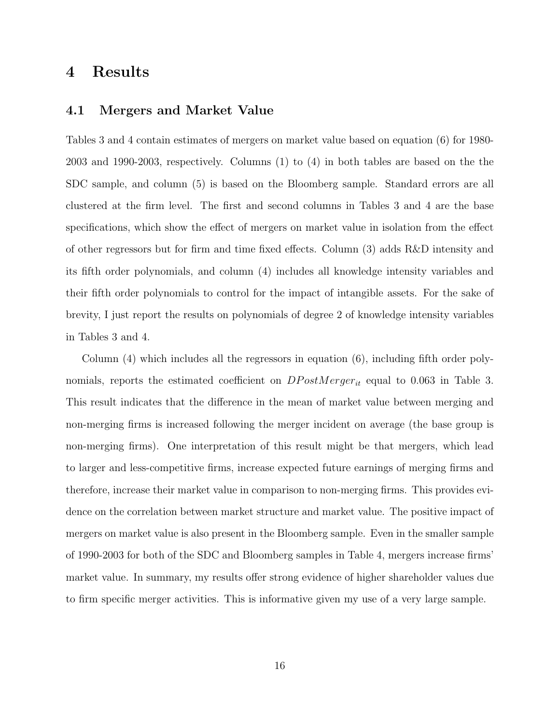## 4 Results

#### 4.1 Mergers and Market Value

Tables 3 and 4 contain estimates of mergers on market value based on equation (6) for 1980- 2003 and 1990-2003, respectively. Columns (1) to (4) in both tables are based on the the SDC sample, and column (5) is based on the Bloomberg sample. Standard errors are all clustered at the firm level. The first and second columns in Tables 3 and 4 are the base specifications, which show the effect of mergers on market value in isolation from the effect of other regressors but for firm and time fixed effects. Column (3) adds R&D intensity and its fifth order polynomials, and column (4) includes all knowledge intensity variables and their fifth order polynomials to control for the impact of intangible assets. For the sake of brevity, I just report the results on polynomials of degree 2 of knowledge intensity variables in Tables 3 and 4.

Column (4) which includes all the regressors in equation (6), including fifth order polynomials, reports the estimated coefficient on  $DPostMerge_{it}$  equal to 0.063 in Table 3. This result indicates that the difference in the mean of market value between merging and non-merging firms is increased following the merger incident on average (the base group is non-merging firms). One interpretation of this result might be that mergers, which lead to larger and less-competitive firms, increase expected future earnings of merging firms and therefore, increase their market value in comparison to non-merging firms. This provides evidence on the correlation between market structure and market value. The positive impact of mergers on market value is also present in the Bloomberg sample. Even in the smaller sample of 1990-2003 for both of the SDC and Bloomberg samples in Table 4, mergers increase firms' market value. In summary, my results offer strong evidence of higher shareholder values due to firm specific merger activities. This is informative given my use of a very large sample.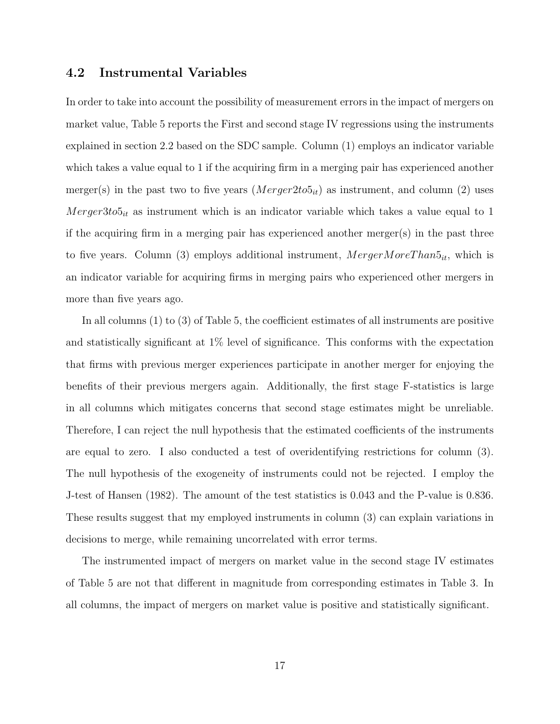#### 4.2 Instrumental Variables

In order to take into account the possibility of measurement errors in the impact of mergers on market value, Table 5 reports the First and second stage IV regressions using the instruments explained in section 2.2 based on the SDC sample. Column (1) employs an indicator variable which takes a value equal to 1 if the acquiring firm in a merging pair has experienced another merger(s) in the past two to five years  $(Merger2to5<sub>it</sub>)$  as instrument, and column (2) uses  $Merger3to5<sub>it</sub>$  as instrument which is an indicator variable which takes a value equal to 1 if the acquiring firm in a merging pair has experienced another merger(s) in the past three to five years. Column (3) employs additional instrument,  $Merger More Than5<sub>it</sub>$ , which is an indicator variable for acquiring firms in merging pairs who experienced other mergers in more than five years ago.

In all columns (1) to (3) of Table 5, the coefficient estimates of all instruments are positive and statistically significant at 1% level of significance. This conforms with the expectation that firms with previous merger experiences participate in another merger for enjoying the benefits of their previous mergers again. Additionally, the first stage F-statistics is large in all columns which mitigates concerns that second stage estimates might be unreliable. Therefore, I can reject the null hypothesis that the estimated coefficients of the instruments are equal to zero. I also conducted a test of overidentifying restrictions for column (3). The null hypothesis of the exogeneity of instruments could not be rejected. I employ the J-test of Hansen (1982). The amount of the test statistics is 0.043 and the P-value is 0.836. These results suggest that my employed instruments in column (3) can explain variations in decisions to merge, while remaining uncorrelated with error terms.

The instrumented impact of mergers on market value in the second stage IV estimates of Table 5 are not that different in magnitude from corresponding estimates in Table 3. In all columns, the impact of mergers on market value is positive and statistically significant.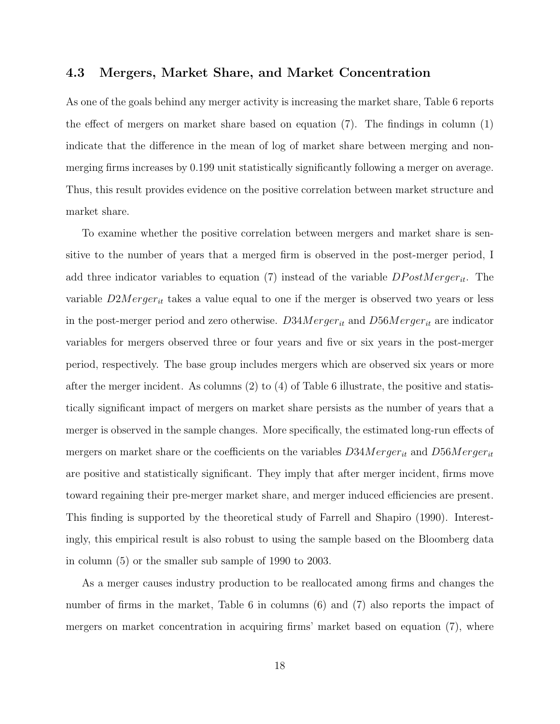#### 4.3 Mergers, Market Share, and Market Concentration

As one of the goals behind any merger activity is increasing the market share, Table 6 reports the effect of mergers on market share based on equation (7). The findings in column (1) indicate that the difference in the mean of log of market share between merging and nonmerging firms increases by 0.199 unit statistically significantly following a merger on average. Thus, this result provides evidence on the positive correlation between market structure and market share.

To examine whether the positive correlation between mergers and market share is sensitive to the number of years that a merged firm is observed in the post-merger period, I add three indicator variables to equation (7) instead of the variable  $DPostMerge_{it}$ . The variable  $D2Merge_{it}$  takes a value equal to one if the merger is observed two years or less in the post-merger period and zero otherwise.  $D34Merger_{it}$  and  $D56Merger_{it}$  are indicator variables for mergers observed three or four years and five or six years in the post-merger period, respectively. The base group includes mergers which are observed six years or more after the merger incident. As columns (2) to (4) of Table 6 illustrate, the positive and statistically significant impact of mergers on market share persists as the number of years that a merger is observed in the sample changes. More specifically, the estimated long-run effects of mergers on market share or the coefficients on the variables  $D34Merge_{it}$  and  $D56Merge_{it}$ are positive and statistically significant. They imply that after merger incident, firms move toward regaining their pre-merger market share, and merger induced efficiencies are present. This finding is supported by the theoretical study of Farrell and Shapiro (1990). Interestingly, this empirical result is also robust to using the sample based on the Bloomberg data in column (5) or the smaller sub sample of 1990 to 2003.

As a merger causes industry production to be reallocated among firms and changes the number of firms in the market, Table 6 in columns (6) and (7) also reports the impact of mergers on market concentration in acquiring firms' market based on equation (7), where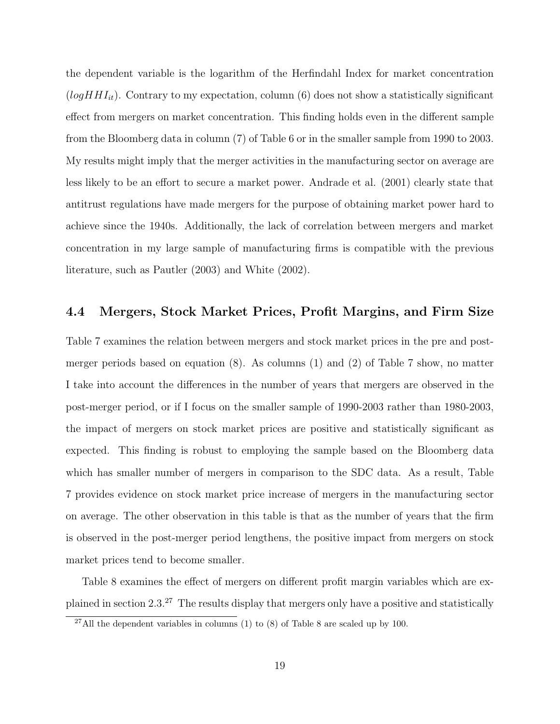the dependent variable is the logarithm of the Herfindahl Index for market concentration  $(logHHI_{it})$ . Contrary to my expectation, column (6) does not show a statistically significant effect from mergers on market concentration. This finding holds even in the different sample from the Bloomberg data in column (7) of Table 6 or in the smaller sample from 1990 to 2003. My results might imply that the merger activities in the manufacturing sector on average are less likely to be an effort to secure a market power. Andrade et al. (2001) clearly state that antitrust regulations have made mergers for the purpose of obtaining market power hard to achieve since the 1940s. Additionally, the lack of correlation between mergers and market concentration in my large sample of manufacturing firms is compatible with the previous literature, such as Pautler (2003) and White (2002).

#### 4.4 Mergers, Stock Market Prices, Profit Margins, and Firm Size

Table 7 examines the relation between mergers and stock market prices in the pre and postmerger periods based on equation (8). As columns (1) and (2) of Table 7 show, no matter I take into account the differences in the number of years that mergers are observed in the post-merger period, or if I focus on the smaller sample of 1990-2003 rather than 1980-2003, the impact of mergers on stock market prices are positive and statistically significant as expected. This finding is robust to employing the sample based on the Bloomberg data which has smaller number of mergers in comparison to the SDC data. As a result, Table 7 provides evidence on stock market price increase of mergers in the manufacturing sector on average. The other observation in this table is that as the number of years that the firm is observed in the post-merger period lengthens, the positive impact from mergers on stock market prices tend to become smaller.

Table 8 examines the effect of mergers on different profit margin variables which are explained in section  $2.3^{27}$  The results display that mergers only have a positive and statistically

<sup>&</sup>lt;sup>27</sup>All the dependent variables in columns (1) to (8) of Table 8 are scaled up by 100.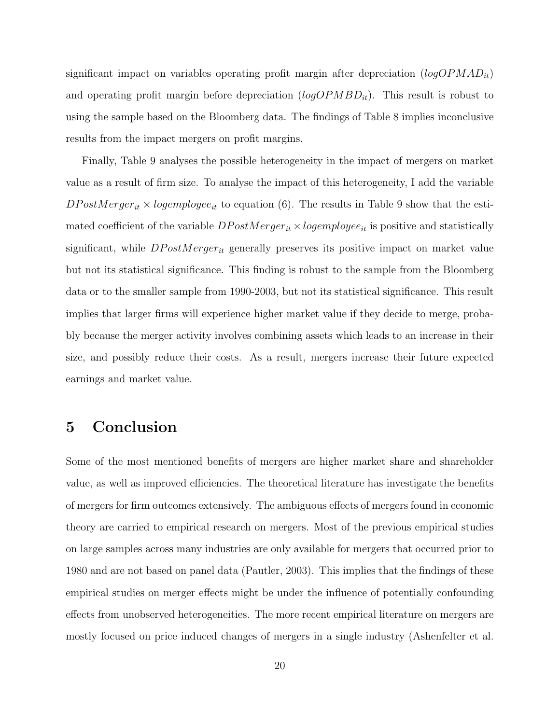significant impact on variables operating profit margin after depreciation  $(logOPMAD_{it})$ and operating profit margin before depreciation  $(logOPMBD<sub>it</sub>)$ . This result is robust to using the sample based on the Bloomberg data. The findings of Table 8 implies inconclusive results from the impact mergers on profit margins.

Finally, Table 9 analyses the possible heterogeneity in the impact of mergers on market value as a result of firm size. To analyse the impact of this heterogeneity, I add the variable  $DPostMerge_{it} \times logemployee_{it}$  to equation (6). The results in Table 9 show that the estimated coefficient of the variable  $DPostMerge_{it} \times logemployee_{it}$  is positive and statistically significant, while  $DPostMerge_{it}$  generally preserves its positive impact on market value but not its statistical significance. This finding is robust to the sample from the Bloomberg data or to the smaller sample from 1990-2003, but not its statistical significance. This result implies that larger firms will experience higher market value if they decide to merge, probably because the merger activity involves combining assets which leads to an increase in their size, and possibly reduce their costs. As a result, mergers increase their future expected earnings and market value.

## 5 Conclusion

Some of the most mentioned benefits of mergers are higher market share and shareholder value, as well as improved efficiencies. The theoretical literature has investigate the benefits of mergers for firm outcomes extensively. The ambiguous effects of mergers found in economic theory are carried to empirical research on mergers. Most of the previous empirical studies on large samples across many industries are only available for mergers that occurred prior to 1980 and are not based on panel data (Pautler, 2003). This implies that the findings of these empirical studies on merger effects might be under the influence of potentially confounding effects from unobserved heterogeneities. The more recent empirical literature on mergers are mostly focused on price induced changes of mergers in a single industry (Ashenfelter et al.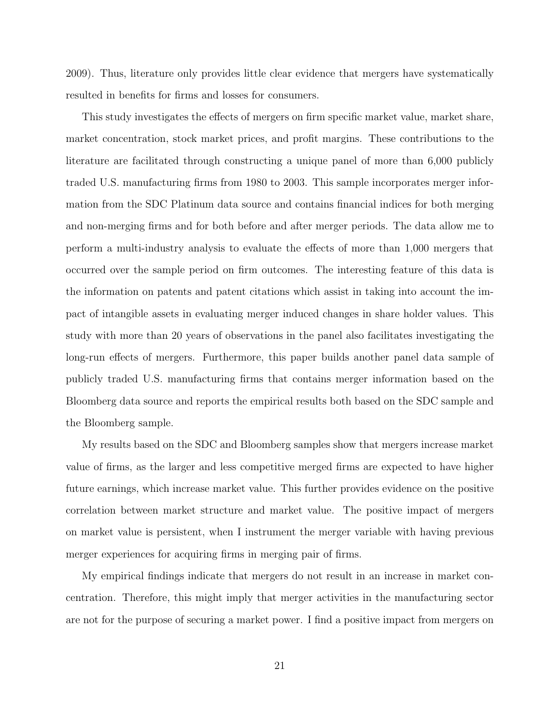2009). Thus, literature only provides little clear evidence that mergers have systematically resulted in benefits for firms and losses for consumers.

This study investigates the effects of mergers on firm specific market value, market share, market concentration, stock market prices, and profit margins. These contributions to the literature are facilitated through constructing a unique panel of more than 6,000 publicly traded U.S. manufacturing firms from 1980 to 2003. This sample incorporates merger information from the SDC Platinum data source and contains financial indices for both merging and non-merging firms and for both before and after merger periods. The data allow me to perform a multi-industry analysis to evaluate the effects of more than 1,000 mergers that occurred over the sample period on firm outcomes. The interesting feature of this data is the information on patents and patent citations which assist in taking into account the impact of intangible assets in evaluating merger induced changes in share holder values. This study with more than 20 years of observations in the panel also facilitates investigating the long-run effects of mergers. Furthermore, this paper builds another panel data sample of publicly traded U.S. manufacturing firms that contains merger information based on the Bloomberg data source and reports the empirical results both based on the SDC sample and the Bloomberg sample.

My results based on the SDC and Bloomberg samples show that mergers increase market value of firms, as the larger and less competitive merged firms are expected to have higher future earnings, which increase market value. This further provides evidence on the positive correlation between market structure and market value. The positive impact of mergers on market value is persistent, when I instrument the merger variable with having previous merger experiences for acquiring firms in merging pair of firms.

My empirical findings indicate that mergers do not result in an increase in market concentration. Therefore, this might imply that merger activities in the manufacturing sector are not for the purpose of securing a market power. I find a positive impact from mergers on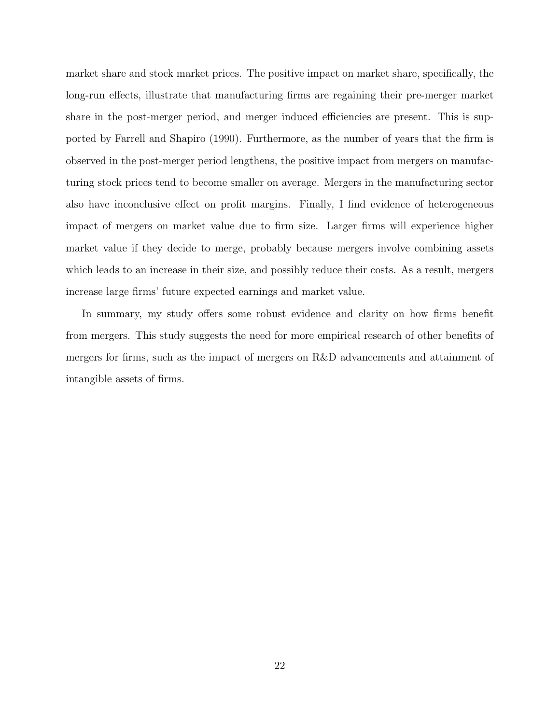market share and stock market prices. The positive impact on market share, specifically, the long-run effects, illustrate that manufacturing firms are regaining their pre-merger market share in the post-merger period, and merger induced efficiencies are present. This is supported by Farrell and Shapiro (1990). Furthermore, as the number of years that the firm is observed in the post-merger period lengthens, the positive impact from mergers on manufacturing stock prices tend to become smaller on average. Mergers in the manufacturing sector also have inconclusive effect on profit margins. Finally, I find evidence of heterogeneous impact of mergers on market value due to firm size. Larger firms will experience higher market value if they decide to merge, probably because mergers involve combining assets which leads to an increase in their size, and possibly reduce their costs. As a result, mergers increase large firms' future expected earnings and market value.

In summary, my study offers some robust evidence and clarity on how firms benefit from mergers. This study suggests the need for more empirical research of other benefits of mergers for firms, such as the impact of mergers on R&D advancements and attainment of intangible assets of firms.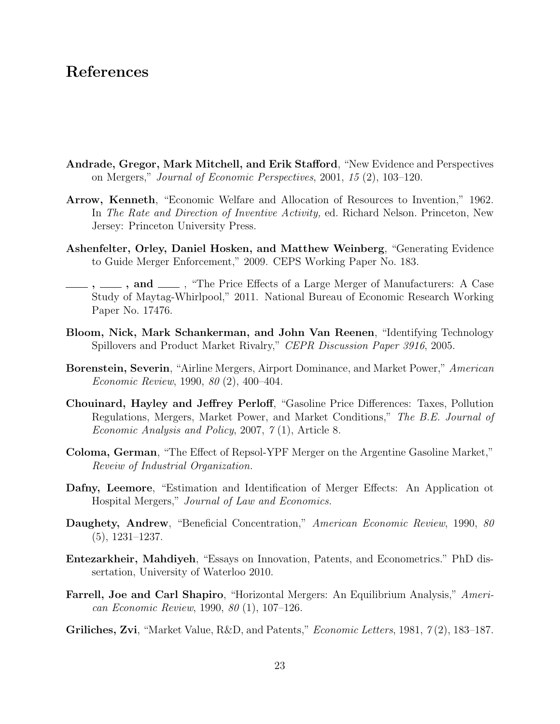## References

- Andrade, Gregor, Mark Mitchell, and Erik Stafford, "New Evidence and Perspectives on Mergers," Journal of Economic Perspectives, 2001, 15 (2), 103–120.
- Arrow, Kenneth, "Economic Welfare and Allocation of Resources to Invention," 1962. In The Rate and Direction of Inventive Activity, ed. Richard Nelson. Princeton, New Jersey: Princeton University Press.
- Ashenfelter, Orley, Daniel Hosken, and Matthew Weinberg, "Generating Evidence to Guide Merger Enforcement," 2009. CEPS Working Paper No. 183.
- ,  $\ldots$ , and  $\ldots$ , "The Price Effects of a Large Merger of Manufacturers: A Case Study of Maytag-Whirlpool," 2011. National Bureau of Economic Research Working Paper No. 17476.
- Bloom, Nick, Mark Schankerman, and John Van Reenen, "Identifying Technology Spillovers and Product Market Rivalry," CEPR Discussion Paper 3916, 2005.
- Borenstein, Severin, "Airline Mergers, Airport Dominance, and Market Power," American Economic Review, 1990, 80 (2), 400–404.
- Chouinard, Hayley and Jeffrey Perloff, "Gasoline Price Differences: Taxes, Pollution Regulations, Mergers, Market Power, and Market Conditions," The B.E. Journal of Economic Analysis and Policy, 2007, 7 (1), Article 8.
- Coloma, German, "The Effect of Repsol-YPF Merger on the Argentine Gasoline Market," Reveiw of Industrial Organization.
- Dafny, Leemore, "Estimation and Identification of Merger Effects: An Application ot Hospital Mergers," Journal of Law and Economics.
- Daughety, Andrew, "Beneficial Concentration," American Economic Review, 1990, 80 (5), 1231–1237.
- Entezarkheir, Mahdiyeh, "Essays on Innovation, Patents, and Econometrics." PhD dissertation, University of Waterloo 2010.
- Farrell, Joe and Carl Shapiro, "Horizontal Mergers: An Equilibrium Analysis," American Economic Review, 1990, 80 (1), 107–126.
- Griliches, Zvi, "Market Value,  $R&D$ , and Patents," *Economic Letters*, 1981,  $\gamma(2)$ , 183–187.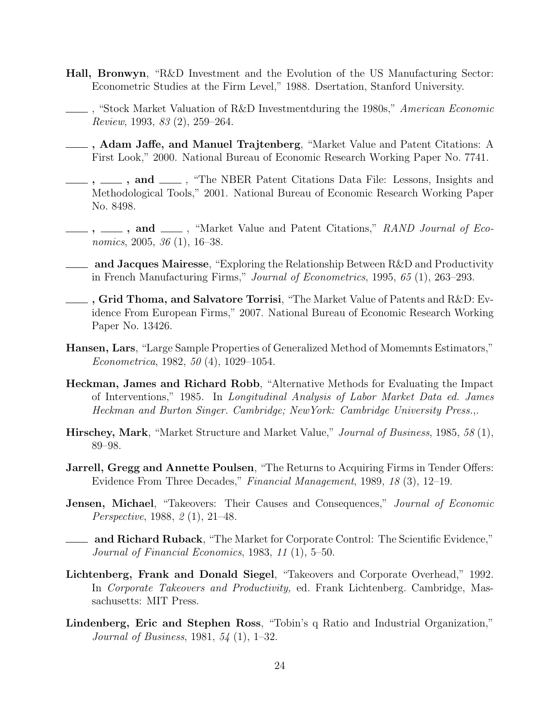- Hall, Bronwyn, "R&D Investment and the Evolution of the US Manufacturing Sector: Econometric Studies at the Firm Level," 1988. Dsertation, Stanford University.
	- , "Stock Market Valuation of R&D Investmentduring the 1980s," American Economic Review, 1993, 83 (2), 259–264.
- **EXECUTE:** Adam Jaffe, and Manuel Trajtenberg, "Market Value and Patent Citations: A First Look," 2000. National Bureau of Economic Research Working Paper No. 7741.
- , , , , and , The NBER Patent Citations Data File: Lessons, Insights and Methodological Tools," 2001. National Bureau of Economic Research Working Paper No. 8498.
- $\ldots$ , and  $\ldots$ , "Market Value and Patent Citations," RAND Journal of Economics, 2005, 36 (1), 16–38.
- **and Jacques Mairesse**, "Exploring the Relationship Between  $R\&D$  and Productivity in French Manufacturing Firms," Journal of Econometrics, 1995, 65 (1), 263–293.
- $\rule{1em}{0.15mm}$  , Grid Thoma, and Salvatore Torrisi, "The Market Value of Patents and R&D: Evidence From European Firms," 2007. National Bureau of Economic Research Working Paper No. 13426.
- Hansen, Lars, "Large Sample Properties of Generalized Method of Momemnts Estimators," Econometrica, 1982, 50 (4), 1029–1054.
- Heckman, James and Richard Robb, "Alternative Methods for Evaluating the Impact of Interventions," 1985. In Longitudinal Analysis of Labor Market Data ed. James Heckman and Burton Singer. Cambridge; NewYork: Cambridge University Press.,.
- Hirschey, Mark, "Market Structure and Market Value," Journal of Business, 1985, 58 (1), 89–98.
- Jarrell, Gregg and Annette Poulsen, "The Returns to Acquiring Firms in Tender Offers: Evidence From Three Decades," Financial Management, 1989, 18 (3), 12–19.
- **Jensen, Michael, "Takeovers: Their Causes and Consequences," Journal of Economic** Perspective, 1988, 2 (1), 21–48.
- **and Richard Ruback**, "The Market for Corporate Control: The Scientific Evidence," Journal of Financial Economics, 1983, 11 (1), 5–50.
- Lichtenberg, Frank and Donald Siegel, "Takeovers and Corporate Overhead," 1992. In Corporate Takeovers and Productivity, ed. Frank Lichtenberg. Cambridge, Massachusetts: MIT Press.
- Lindenberg, Eric and Stephen Ross, "Tobin's q Ratio and Industrial Organization," Journal of Business, 1981, 54 (1), 1–32.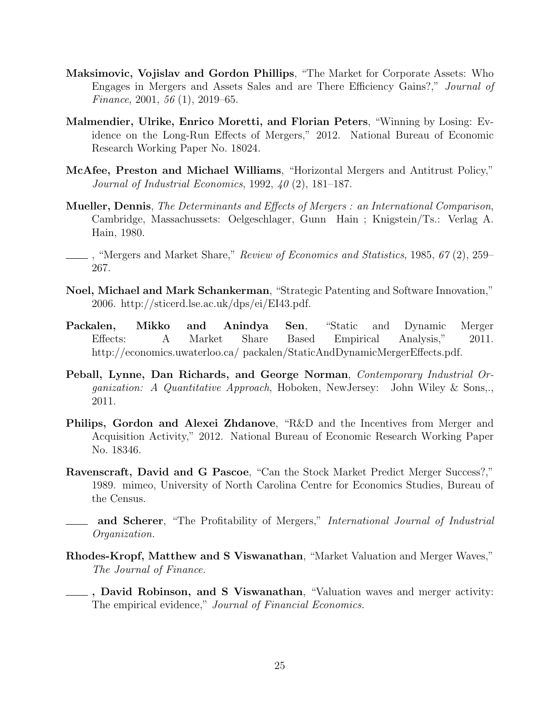- Maksimovic, Vojislav and Gordon Phillips, "The Market for Corporate Assets: Who Engages in Mergers and Assets Sales and are There Efficiency Gains?," Journal of Finance, 2001, 56 (1), 2019–65.
- Malmendier, Ulrike, Enrico Moretti, and Florian Peters, "Winning by Losing: Evidence on the Long-Run Effects of Mergers," 2012. National Bureau of Economic Research Working Paper No. 18024.
- McAfee, Preston and Michael Williams, "Horizontal Mergers and Antitrust Policy," Journal of Industrial Economics, 1992, 40 (2), 181–187.
- Mueller, Dennis, The Determinants and Effects of Mergers : an International Comparison, Cambridge, Massachussets: Oelgeschlager, Gunn Hain ; Knigstein/Ts.: Verlag A. Hain, 1980.
- $\ldots$ , "Mergers and Market Share," Review of Economics and Statistics, 1985, 67(2), 259– 267.
- Noel, Michael and Mark Schankerman, "Strategic Patenting and Software Innovation," 2006. http://sticerd.lse.ac.uk/dps/ei/EI43.pdf.
- Packalen, Mikko and Anindya Sen, "Static and Dynamic Merger Effects: A Market Share Based Empirical Analysis," 2011. http://economics.uwaterloo.ca/ packalen/StaticAndDynamicMergerEffects.pdf.
- Peball, Lynne, Dan Richards, and George Norman, Contemporary Industrial Organization: A Quantitative Approach, Hoboken, NewJersey: John Wiley & Sons,., 2011.
- Philips, Gordon and Alexei Zhdanove, "R&D and the Incentives from Merger and Acquisition Activity," 2012. National Bureau of Economic Research Working Paper No. 18346.
- Ravenscraft, David and G Pascoe, "Can the Stock Market Predict Merger Success?," 1989. mimeo, University of North Carolina Centre for Economics Studies, Bureau of the Census.
- and Scherer, "The Profitability of Mergers," International Journal of Industrial Organization.
- Rhodes-Kropf, Matthew and S Viswanathan, "Market Valuation and Merger Waves," The Journal of Finance.
- , David Robinson, and S Viswanathan, "Valuation waves and merger activity: The empirical evidence," Journal of Financial Economics.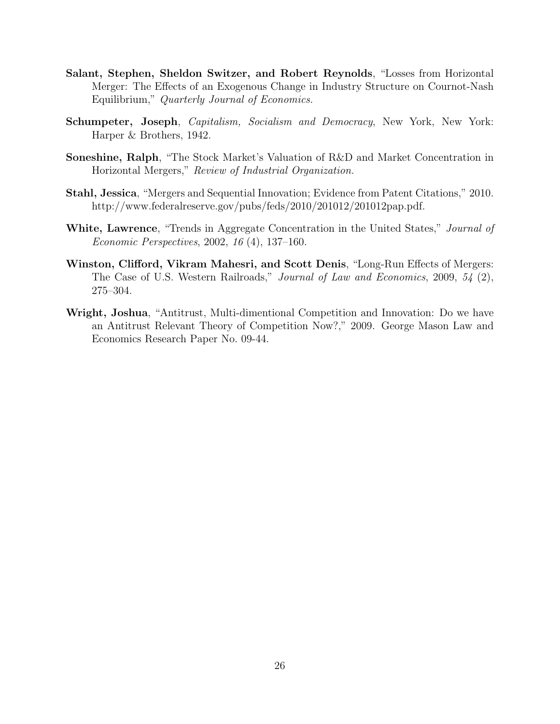- Salant, Stephen, Sheldon Switzer, and Robert Reynolds, "Losses from Horizontal Merger: The Effects of an Exogenous Change in Industry Structure on Cournot-Nash Equilibrium," Quarterly Journal of Economics.
- Schumpeter, Joseph, *Capitalism, Socialism and Democracy*, New York, New York: Harper & Brothers, 1942.
- Soneshine, Ralph, "The Stock Market's Valuation of R&D and Market Concentration in Horizontal Mergers," Review of Industrial Organization.
- Stahl, Jessica, "Mergers and Sequential Innovation; Evidence from Patent Citations," 2010. http://www.federalreserve.gov/pubs/feds/2010/201012/201012pap.pdf.
- White, Lawrence, "Trends in Aggregate Concentration in the United States," *Journal of* Economic Perspectives, 2002, 16 (4), 137–160.
- Winston, Clifford, Vikram Mahesri, and Scott Denis, "Long-Run Effects of Mergers: The Case of U.S. Western Railroads," Journal of Law and Economics, 2009, 54 (2), 275–304.
- Wright, Joshua, "Antitrust, Multi-dimentional Competition and Innovation: Do we have an Antitrust Relevant Theory of Competition Now?," 2009. George Mason Law and Economics Research Paper No. 09-44.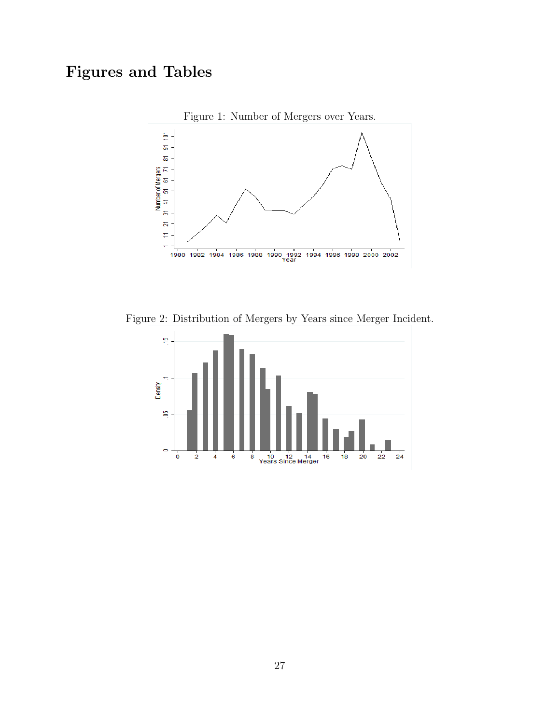## Figures and Tables



Figure 2: Distribution of Mergers by Years since Merger Incident.

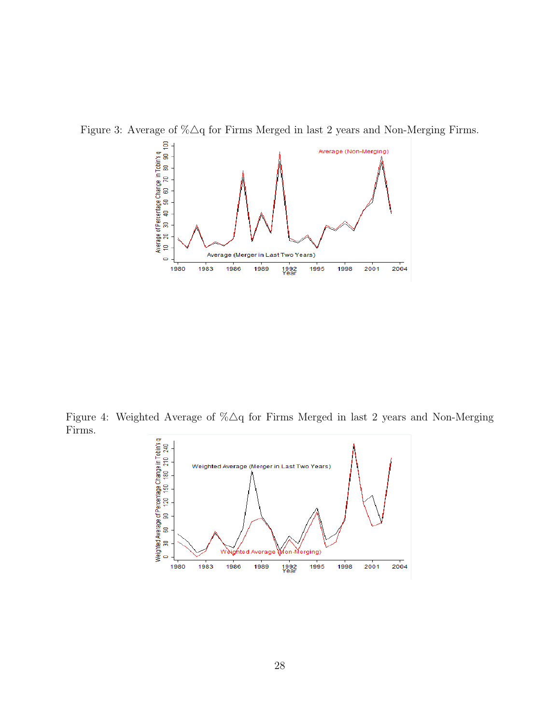Figure 3: Average of  $\%\triangle_{\text{Q}}$  for Firms Merged in last 2 years and Non-Merging Firms.



Figure 4: Weighted Average of  $\%\triangle_{q}$  for Firms Merged in last 2 years and Non-Merging Firms.

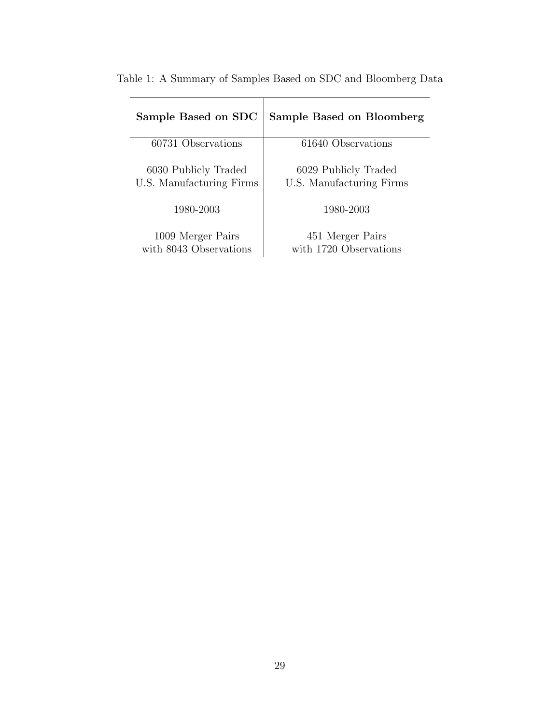| Sample Based on SDC                              | Sample Based on Bloomberg                        |
|--------------------------------------------------|--------------------------------------------------|
| 60731 Observations                               | 61640 Observations                               |
| 6030 Publicly Traded<br>U.S. Manufacturing Firms | 6029 Publicly Traded<br>U.S. Manufacturing Firms |
| 1980-2003                                        | 1980-2003                                        |
| 1009 Merger Pairs<br>with 8043 Observations      | 451 Merger Pairs<br>with 1720 Observations       |

Table 1: A Summary of Samples Based on SDC and Bloomberg Data

 $\equiv$ 

 $\overline{\phantom{a}}$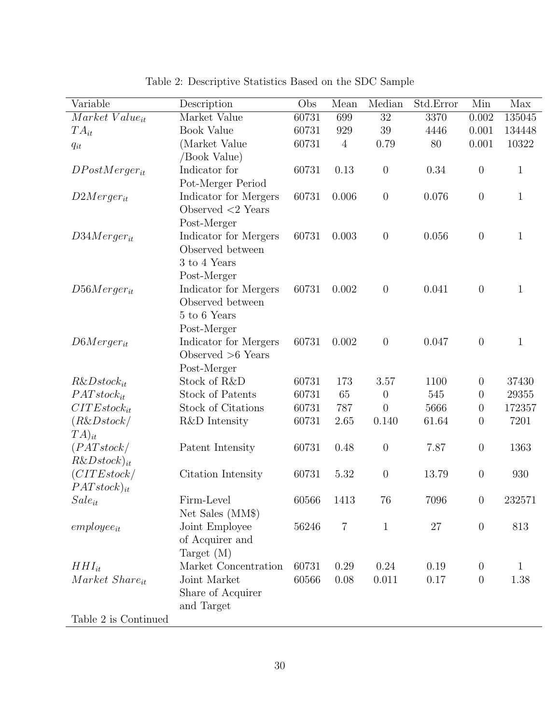| Variable                   | Description             | Obs   | Mean           | Median           | Std.Error | Min              | Max          |
|----------------------------|-------------------------|-------|----------------|------------------|-----------|------------------|--------------|
| $Market\ Value_{it}$       | Market Value            | 60731 | 699            | 32               | 3370      | 0.002            | 135045       |
| $TA_{it}$                  | <b>Book Value</b>       | 60731 | 929            | 39               | 4446      | 0.001            | 134448       |
| $q_{it}$                   | (Market Value           | 60731 | $\overline{4}$ | 0.79             | 80        | 0.001            | 10322        |
|                            | /Book Value)            |       |                |                  |           |                  |              |
| $DPostMerge_{it}$          | Indicator for           | 60731 | 0.13           | $\boldsymbol{0}$ | 0.34      | $\boldsymbol{0}$ | $\mathbf{1}$ |
|                            | Pot-Merger Period       |       |                |                  |           |                  |              |
| $D2Merger_{it}$            | Indicator for Mergers   | 60731 | 0.006          | $\boldsymbol{0}$ | 0.076     | $\theta$         | $\mathbf{1}$ |
|                            | Observed $<$ 2 Years    |       |                |                  |           |                  |              |
|                            | Post-Merger             |       |                |                  |           |                  |              |
| $D34Merger_{it}$           | Indicator for Mergers   | 60731 | 0.003          | $\boldsymbol{0}$ | 0.056     | $\theta$         | $\mathbf{1}$ |
|                            | Observed between        |       |                |                  |           |                  |              |
|                            | 3 to 4 Years            |       |                |                  |           |                  |              |
|                            | Post-Merger             |       |                |                  |           |                  |              |
| $D56Merger_{it}$           | Indicator for Mergers   | 60731 | 0.002          | $\boldsymbol{0}$ | 0.041     | $\theta$         | $\mathbf{1}$ |
|                            | Observed between        |       |                |                  |           |                  |              |
|                            | 5 to 6 Years            |       |                |                  |           |                  |              |
|                            | Post-Merger             |       |                |                  |           |                  |              |
| $D6Merger_{it}$            | Indicator for Mergers   | 60731 | 0.002          | $\boldsymbol{0}$ | 0.047     | $\theta$         | $\mathbf{1}$ |
|                            | Observed $>6$ Years     |       |                |                  |           |                  |              |
|                            | Post-Merger             |       |                |                  |           |                  |              |
| $R\&Dstock_{it}$           | Stock of R&D            | 60731 | 173            | 3.57             | 1100      | $\boldsymbol{0}$ | 37430        |
| $PATstock_{it}$            | <b>Stock of Patents</b> | 60731 | 65             | $\boldsymbol{0}$ | 545       | $\theta$         | 29355        |
| $CITE stock_{it}$          | Stock of Citations      | 60731 | 787            | $\boldsymbol{0}$ | 5666      | $\theta$         | 172357       |
| $(R\&Dstock/$              | R&D Intensity           | 60731 | 2.65           | 0.140            | 61.64     | $\overline{0}$   | 7201         |
| $TA)_{it}$                 |                         |       |                |                  |           |                  |              |
| (PATstock/                 | Patent Intensity        | 60731 | 0.48           | $\theta$         | 7.87      | $\boldsymbol{0}$ | 1363         |
| $R\&Dstock)_{it}$          |                         |       |                |                  |           |                  |              |
| (CITE stock/               | Citation Intensity      | 60731 | 5.32           | $\boldsymbol{0}$ | 13.79     | $\overline{0}$   | 930          |
| $PATstock)_{it}$           |                         |       |                |                  |           |                  |              |
| $\operatorname{Sale}_{it}$ | Firm-Level              | 60566 | 1413           | 76               | 7096      | $\theta$         | 232571       |
|                            | Net Sales (MM\$)        |       |                |                  |           |                  |              |
| $employee_{it}$            | Joint Employee          | 56246 | $\overline{7}$ | $\mathbf{1}$     | 27        | $\theta$         | 813          |
|                            | of Acquirer and         |       |                |                  |           |                  |              |
|                            | Target $(M)$            |       |                |                  |           |                  |              |
| $HHI_{it}$                 | Market Concentration    | 60731 | 0.29           | 0.24             | 0.19      | $\theta$         | $\mathbf{1}$ |
| Market Share <sub>it</sub> | Joint Market            | 60566 | 0.08           | 0.011            | 0.17      | $\theta$         | 1.38         |
|                            | Share of Acquirer       |       |                |                  |           |                  |              |
|                            | and Target              |       |                |                  |           |                  |              |
| Table 2 is Continued       |                         |       |                |                  |           |                  |              |

Table 2: Descriptive Statistics Based on the SDC Sample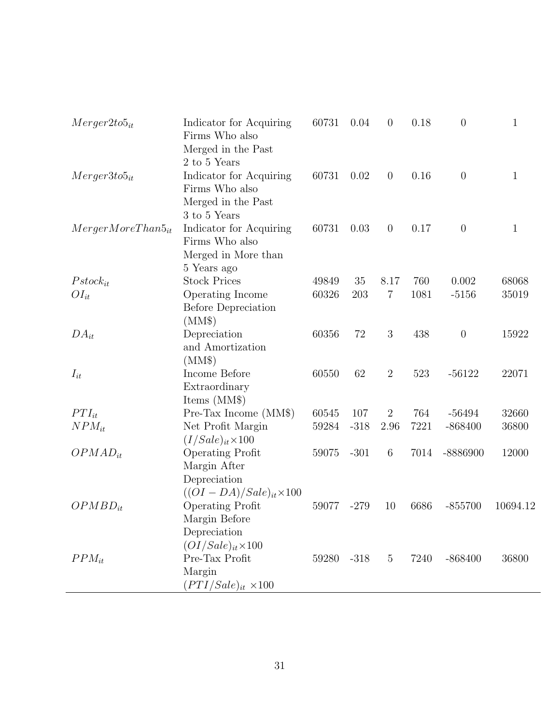| $Merger2to5_{it}$       | Indicator for Acquiring<br>Firms Who also<br>Merged in the Past                         |       | 0.04   | $\theta$       | 0.18 | $\overline{0}$   | $\mathbf 1$  |
|-------------------------|-----------------------------------------------------------------------------------------|-------|--------|----------------|------|------------------|--------------|
|                         | 2 to 5 Years<br>Indicator for Acquiring                                                 | 60731 | 0.02   | $\theta$       | 0.16 | $\theta$         | 1            |
| $Merger 3 to 5_{it}$    | Firms Who also                                                                          |       |        |                |      |                  |              |
|                         | Merged in the Past<br>3 to 5 Years                                                      |       |        |                |      |                  |              |
| $MergerMore Than5_{it}$ | Indicator for Acquiring<br>Firms Who also                                               | 60731 | 0.03   | $\overline{0}$ | 0.17 | $\theta$         | $\mathbf{1}$ |
|                         | Merged in More than<br>5 Years ago                                                      |       |        |                |      |                  |              |
| $Pstock_{it}$           | <b>Stock Prices</b>                                                                     | 49849 | 35     | 8.17           | 760  | 0.002            | 68068        |
| $OI_{it}$               | Operating Income<br><b>Before Depreciation</b><br>(MM\$)                                | 60326 | 203    | 7              | 1081 | $-5156$          | 35019        |
| $DA_{it}$               | Depreciation<br>and Amortization<br>(MM\$)                                              | 60356 | 72     | 3              | 438  | $\boldsymbol{0}$ | 15922        |
| $I_{it}$                | Income Before<br>Extraordinary<br>Items (MM\$)                                          | 60550 | 62     | $\overline{2}$ | 523  | $-56122$         | 22071        |
| $PTI_{it}$              | Pre-Tax Income (MM\$)                                                                   | 60545 | 107    | $\overline{2}$ | 764  | $-56494$         | 32660        |
| $NPM_{it}$              | Net Profit Margin<br>$(I/Sale)_{it} \times 100$                                         | 59284 | $-318$ | 2.96           | 7221 | $-868400$        | 36800        |
| $OPMAD_{it}$            | Operating Profit<br>Margin After<br>Depreciation<br>$((OI-DA)/Sale)_{it} \times 100$    | 59075 | $-301$ | 6              | 7014 | -8886900         | 12000        |
| $OPMBD_{it}$            | <b>Operating Profit</b><br>Margin Before<br>Depreciation                                | 59077 | $-279$ | 10             | 6686 | $-855700$        | 10694.12     |
| $PPM_{it}$              | $(OI/Sale)_{it} \times 100$<br>Pre-Tax Profit<br>Margin<br>$(PTI/Sale)_{it} \times 100$ | 59280 | $-318$ | $\overline{5}$ | 7240 | $-868400$        | 36800        |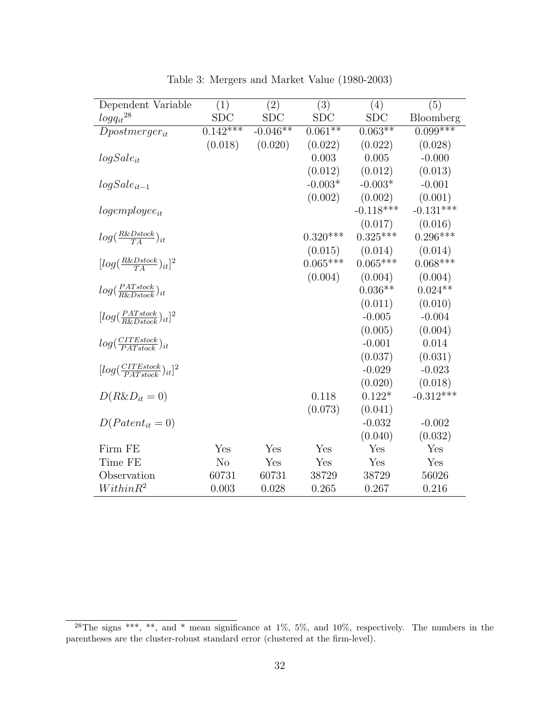| Dependent Variable                         | (1)            | (2)          | (3)        | (4)         | (5)         |
|--------------------------------------------|----------------|--------------|------------|-------------|-------------|
| $\log {q_{it}}^{28}$                       | <b>SDC</b>     | $_{\rm SDC}$ | SDC        | <b>SDC</b>  | Bloomberg   |
| $Dpostmerger_{it}$                         | $0.142***$     | $-0.046**$   | $0.061***$ | $0.063**$   | $0.099***$  |
|                                            | (0.018)        | (0.020)      | (0.022)    | (0.022)     | (0.028)     |
| $log Sale_{it}$                            |                |              | 0.003      | 0.005       | $-0.000$    |
|                                            |                |              | (0.012)    | (0.012)     | (0.013)     |
| $log Sale_{it-1}$                          |                |              | $-0.003*$  | $-0.003*$   | $-0.001$    |
|                                            |                |              | (0.002)    | (0.002)     | (0.001)     |
| $logemplope_{it}$                          |                |              |            | $-0.118***$ | $-0.131***$ |
|                                            |                |              |            | (0.017)     | (0.016)     |
| $log(\frac{R\&Dstock}{TA})_{it}$           |                |              | $0.320***$ | $0.325***$  | $0.296***$  |
|                                            |                |              | (0.015)    | (0.014)     | (0.014)     |
| $[log(\frac{R\&Dstock}{TA})_{it}]^2$       |                |              | $0.065***$ | $0.065***$  | $0.068***$  |
|                                            |                |              | (0.004)    | (0.004)     | (0.004)     |
| $log(\frac{PATstock}{R\&Dstock})_{it}$     |                |              |            | $0.036**$   | $0.024**$   |
|                                            |                |              |            | (0.011)     | (0.010)     |
| $[log(\frac{PATstock}{RkDstock})_{it}]^2$  |                |              |            | $-0.005$    | $-0.004$    |
|                                            |                |              |            | (0.005)     | (0.004)     |
| $log(\frac{CITEstock}{PATstock})_{it}$     |                |              |            | $-0.001$    | 0.014       |
|                                            |                |              |            | (0.037)     | (0.031)     |
| $[log(\frac{CITEstock}{PATstock})_{it}]^2$ |                |              |            | $-0.029$    | $-0.023$    |
|                                            |                |              |            | (0.020)     | (0.018)     |
| $D(R\&D_{it}=0)$                           |                |              | 0.118      | $0.122*$    | $-0.312***$ |
|                                            |                |              | (0.073)    | (0.041)     |             |
| $D(Patent_{it}=0)$                         |                |              |            | $-0.032$    | $-0.002$    |
|                                            |                |              |            | (0.040)     | (0.032)     |
| Firm FE                                    | Yes            | Yes          | Yes        | Yes         | Yes         |
| Time FE                                    | N <sub>o</sub> | Yes          | Yes        | Yes         | Yes         |
| Observation                                | 60731          | 60731        | 38729      | 38729       | 56026       |
| Within R <sup>2</sup>                      | 0.003          | 0.028        | 0.265      | 0.267       | 0.216       |

Table 3: Mergers and Market Value (1980-2003)

<sup>&</sup>lt;sup>28</sup>The signs \*\*\*, \*\*, and \* mean significance at 1%, 5%, and 10%, respectively. The numbers in the parentheses are the cluster-robust standard error (clustered at the firm-level).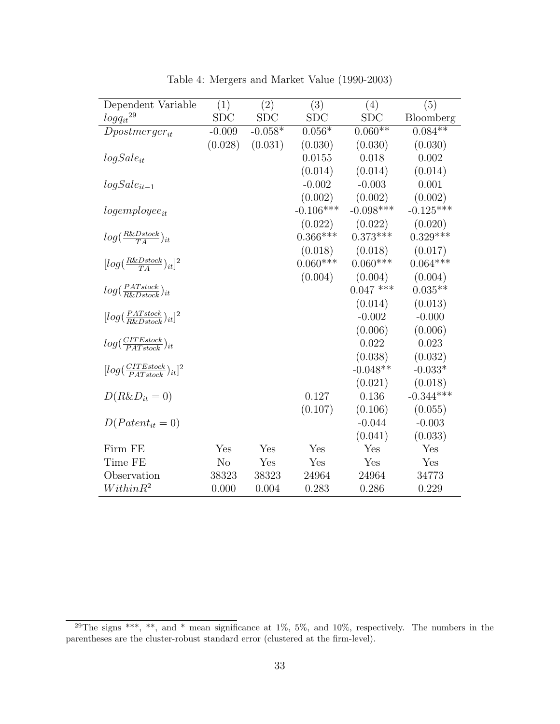| Dependent Variable                         | (1)            | (2)        | (3)         | (4)         | (5)         |
|--------------------------------------------|----------------|------------|-------------|-------------|-------------|
| $\log{q_{it}}^{29}$                        | <b>SDC</b>     | <b>SDC</b> | SDC         | <b>SDC</b>  | Bloomberg   |
| $Dpostmerger_{it}$                         | $-0.009$       | $-0.058*$  | $0.056*$    | $0.060**$   | $0.084***$  |
|                                            | (0.028)        | (0.031)    | (0.030)     | (0.030)     | (0.030)     |
| $log Sale_{it}$                            |                |            | 0.0155      | 0.018       | 0.002       |
|                                            |                |            | (0.014)     | (0.014)     | (0.014)     |
| $log Sale_{it-1}$                          |                |            | $-0.002$    | $-0.003$    | 0.001       |
|                                            |                |            | (0.002)     | (0.002)     | (0.002)     |
| $logemplope_{it}$                          |                |            | $-0.106***$ | $-0.098***$ | $-0.125***$ |
|                                            |                |            | (0.022)     | (0.022)     | (0.020)     |
| $log(\frac{R\&Dstock}{TA})_{it}$           |                |            | $0.366***$  | $0.373***$  | $0.329***$  |
|                                            |                |            | (0.018)     | (0.018)     | (0.017)     |
| $[log(\frac{R\&Dstock}{TA})_{it}]^2$       |                |            | $0.060***$  | $0.060***$  | $0.064***$  |
|                                            |                |            | (0.004)     | (0.004)     | (0.004)     |
| $log(\frac{PATstock}{R\&Dstock})_{it}$     |                |            |             | $0.047$ *** | $0.035**$   |
|                                            |                |            |             | (0.014)     | (0.013)     |
| $[log(\frac{PATstock}{RkDstock})_{it}]^2$  |                |            |             | $-0.002$    | $-0.000$    |
|                                            |                |            |             | (0.006)     | (0.006)     |
| $log(\frac{CITEstock}{PATstock})_{it}$     |                |            |             | 0.022       | 0.023       |
|                                            |                |            |             | (0.038)     | (0.032)     |
| $[log(\frac{CITEstock}{PATstock})_{it}]^2$ |                |            |             | $-0.048**$  | $-0.033*$   |
|                                            |                |            |             | (0.021)     | (0.018)     |
| $D(R\&D_{it}=0)$                           |                |            | 0.127       | 0.136       | $-0.344***$ |
|                                            |                |            | (0.107)     | (0.106)     | (0.055)     |
| $D(Patent_{it}=0)$                         |                |            |             | $-0.044$    | $-0.003$    |
|                                            |                |            |             | (0.041)     | (0.033)     |
| Firm FE                                    | Yes            | Yes        | Yes         | Yes         | Yes         |
| Time FE                                    | N <sub>o</sub> | Yes        | Yes         | Yes         | Yes         |
| Observation                                | 38323          | 38323      | 24964       | 24964       | 34773       |
| With in R <sup>2</sup>                     | 0.000          | 0.004      | 0.283       | 0.286       | 0.229       |

Table 4: Mergers and Market Value (1990-2003)

<sup>&</sup>lt;sup>29</sup>The signs \*\*\*, \*\*, and \* mean significance at 1%, 5%, and 10%, respectively. The numbers in the parentheses are the cluster-robust standard error (clustered at the firm-level).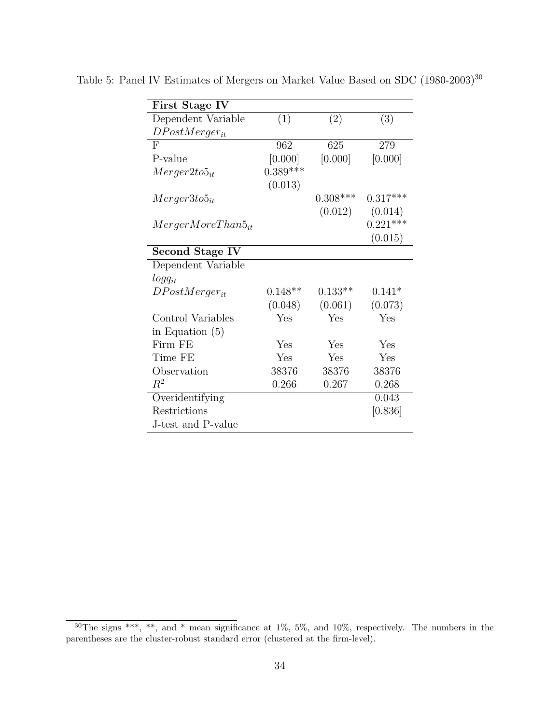| <b>First Stage IV</b> |            |            |            |
|-----------------------|------------|------------|------------|
| Dependent Variable    | (1)        | (2)        | (3)        |
| $DPostMerge_{it}$     |            |            |            |
| F                     | 962        | 625        | 279        |
| P-value               | [0.000]    | [0.000]    | [0.000]    |
| $Merge2to5_{it}$      | $0.389***$ |            |            |
|                       | (0.013)    |            |            |
| $Merger 3 to 5_{it}$  |            | $0.308***$ | $0.317***$ |
|                       |            | (0.012)    | (0.014)    |
| $MergeMoreThan5_{it}$ |            |            | $0.221***$ |
|                       |            |            | (0.015)    |
| Second Stage IV       |            |            |            |
| Dependent Variable    |            |            |            |
| $logq_{it}$           |            |            |            |
| $DPostMerge_{it}$     | $0.148**$  | $0.133**$  | $0.141*$   |
|                       | (0.048)    | (0.061)    | (0.073)    |
| Control Variables     | Yes        | Yes        | Yes        |
| in Equation $(5)$     |            |            |            |
| Firm FE               | Yes        | Yes        | Yes        |
| Time FE               | Yes        | Yes        | Yes        |
| Observation           | 38376      | 38376      | 38376      |
| $\mathbb{R}^2$        | 0.266      | 0.267      | 0.268      |
| Overidentifying       |            |            | 0.043      |
| Restrictions          |            |            | [0.836]    |
| J-test and P-value    |            |            |            |

Table 5: Panel IV Estimates of Mergers on Market Value Based on SDC  $(1980-2003)^{30}$ 

 $30$ The signs \*\*\*, \*\*, and \* mean significance at 1%, 5%, and 10%, respectively. The numbers in the parentheses are the cluster-robust standard error (clustered at the firm-level).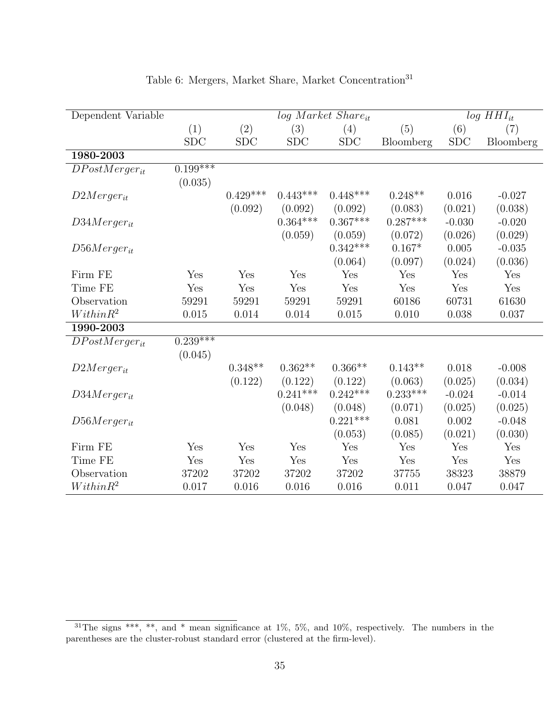| Dependent Variable    |            |            | $log Market\;Shareit$ | $log HHI_{it}$ |            |            |           |
|-----------------------|------------|------------|-----------------------|----------------|------------|------------|-----------|
|                       | (1)        | (2)        | (3)                   | (4)            | (5)        | (6)        | (7)       |
|                       | <b>SDC</b> | <b>SDC</b> | <b>SDC</b>            | <b>SDC</b>     | Bloomberg  | <b>SDC</b> | Bloomberg |
| 1980-2003             |            |            |                       |                |            |            |           |
| $DPostMerge_{it}$     | $0.199***$ |            |                       |                |            |            |           |
|                       | (0.035)    |            |                       |                |            |            |           |
| $D2Merge_{it}$        |            | $0.429***$ | $0.443***$            | $0.448***$     | $0.248**$  | 0.016      | $-0.027$  |
|                       |            | (0.092)    | (0.092)               | (0.092)        | (0.083)    | (0.021)    | (0.038)   |
| $D34Merger_{it}$      |            |            | $0.364***$            | $0.367***$     | $0.287***$ | $-0.030$   | $-0.020$  |
|                       |            |            | (0.059)               | (0.059)        | (0.072)    | (0.026)    | (0.029)   |
| $D56Merger_{it}$      |            |            |                       | $0.342***$     | $0.167*$   | 0.005      | $-0.035$  |
|                       |            |            |                       | (0.064)        | (0.097)    | (0.024)    | (0.036)   |
| Firm FE               | Yes        | Yes        | Yes                   | Yes            | Yes        | Yes        | Yes       |
| Time FE               | Yes        | Yes        | Yes                   | Yes            | Yes        | Yes        | Yes       |
| Observation           | 59291      | 59291      | 59291                 | 59291          | 60186      | 60731      | 61630     |
| Within R <sup>2</sup> | 0.015      | 0.014      | 0.014                 | 0.015          | 0.010      | 0.038      | 0.037     |
| 1990-2003             |            |            |                       |                |            |            |           |
| $DPostMerger_{it}$    | $0.239***$ |            |                       |                |            |            |           |
|                       | (0.045)    |            |                       |                |            |            |           |
| $D2Merge_{it}$        |            | $0.348**$  | $0.362**$             | $0.366**$      | $0.143**$  | 0.018      | $-0.008$  |
|                       |            | (0.122)    | (0.122)               | (0.122)        | (0.063)    | (0.025)    | (0.034)   |
| $D34Merger_{it}$      |            |            | $0.241***$            | $0.242***$     | $0.233***$ | $-0.024$   | $-0.014$  |
|                       |            |            | (0.048)               | (0.048)        | (0.071)    | (0.025)    | (0.025)   |
| $D56Merger_{it}$      |            |            |                       | $0.221***$     | 0.081      | 0.002      | $-0.048$  |
|                       |            |            |                       | (0.053)        | (0.085)    | (0.021)    | (0.030)   |
| Firm FE               | Yes        | Yes        | Yes                   | Yes            | Yes        | Yes        | Yes       |
| Time FE               | Yes        | Yes        | Yes                   | Yes            | Yes        | Yes        | Yes       |
| Observation           | 37202      | 37202      | 37202                 | 37202          | 37755      | 38323      | 38879     |
| $With in R^2$         | 0.017      | 0.016      | 0.016                 | 0.016          | 0.011      | 0.047      | 0.047     |

## Table 6: Mergers, Market Share, Market Concentration $\!31}$

<sup>&</sup>lt;sup>31</sup>The signs \*\*\*, \*\*, and \* mean significance at 1%, 5%, and 10%, respectively. The numbers in the parentheses are the cluster-robust standard error (clustered at the firm-level).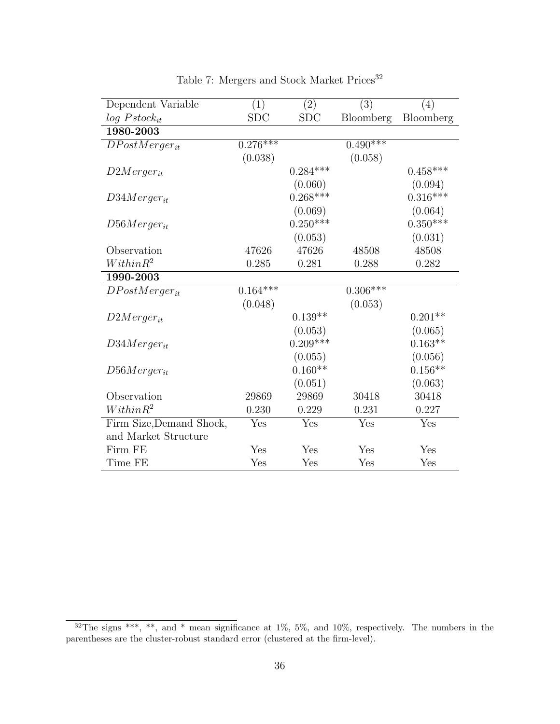| Dependent Variable       | (1)        | $\left( 2\right)$ | (3)        | (4)        |
|--------------------------|------------|-------------------|------------|------------|
| $log Pstock_{it}$        | <b>SDC</b> | <b>SDC</b>        | Bloomberg  | Bloomberg  |
| 1980-2003                |            |                   |            |            |
| $DPostMerge_{it}$        | $0.276***$ |                   | $0.490***$ |            |
|                          | (0.038)    |                   | (0.058)    |            |
| $D2Merge_{it}$           |            | $0.284***$        |            | $0.458***$ |
|                          |            | (0.060)           |            | (0.094)    |
| $D34Merger_{it}$         |            | $0.268***$        |            | $0.316***$ |
|                          |            | (0.069)           |            | (0.064)    |
| $D56Merger_{it}$         |            | $0.250***$        |            | $0.350***$ |
|                          |            | (0.053)           |            | (0.031)    |
| Observation              | 47626      | 47626             | 48508      | 48508      |
| $With in R^2$            | 0.285      | 0.281             | 0.288      | 0.282      |
| 1990-2003                |            |                   |            |            |
| $DPostMerge_{it}$        | $0.164***$ |                   | $0.306***$ |            |
|                          | (0.048)    |                   | (0.053)    |            |
| $D2Merger_{it}$          |            | $0.139**$         |            | $0.201**$  |
|                          |            | (0.053)           |            | (0.065)    |
| $D34Merger_{it}$         |            | $0.209***$        |            | $0.163**$  |
|                          |            | (0.055)           |            | (0.056)    |
| $D56Merger_{it}$         |            | $0.160**$         |            | $0.156**$  |
|                          |            | (0.051)           |            | (0.063)    |
| Observation              | 29869      | 29869             | 30418      | 30418      |
| $With in R^2$            | 0.230      | 0.229             | 0.231      | 0.227      |
| Firm Size, Demand Shock, | Yes        | Yes               | Yes        | Yes        |
| and Market Structure     |            |                   |            |            |
| Firm FE                  | Yes        | Yes               | Yes        | Yes        |
| Time FE                  | Yes        | Yes               | Yes        | Yes        |

Table 7: Mergers and Stock Market  $\mathrm{Prices}^{32}$ 

<sup>&</sup>lt;sup>32</sup>The signs \*\*\*, \*\*, and \* mean significance at 1%, 5%, and 10%, respectively. The numbers in the parentheses are the cluster-robust standard error (clustered at the firm-level).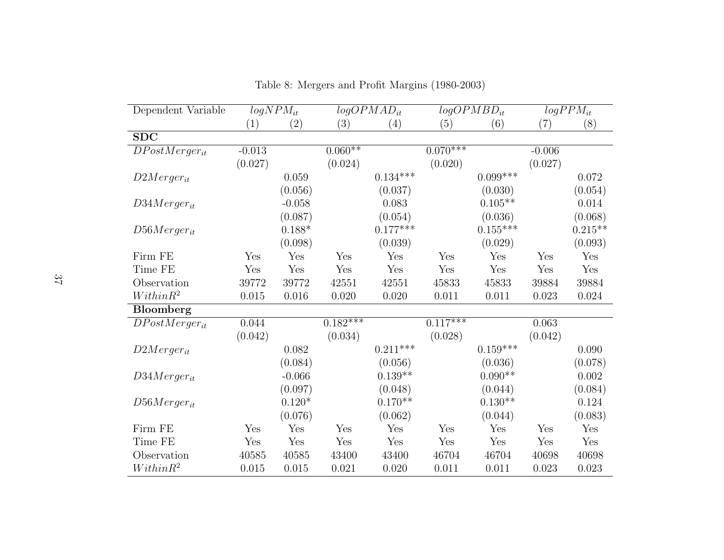| Dependent Variable     |           | $logNPM_{it}$ |            | $logOPMAD_{it}$ |            | $logOPMBD_{it}$ | $logPPM_{it}$     |           |
|------------------------|-----------|---------------|------------|-----------------|------------|-----------------|-------------------|-----------|
|                        | (1)       | (2)           | (3)        | (4)             | (5)        | (6)             | $\left( 7\right)$ | (8)       |
| SDC                    |           |               |            |                 |            |                 |                   |           |
| $DPostMerge_{it}$      | $-0.013$  |               | $0.060**$  |                 | $0.070***$ |                 | $-0.006$          |           |
|                        | (0.027)   |               | (0.024)    |                 | (0.020)    |                 | (0.027)           |           |
| $D2Merge_{it}$         |           | 0.059         |            | $0.134***$      |            | $0.099***$      |                   | 0.072     |
|                        |           | (0.056)       |            | (0.037)         |            | (0.030)         |                   | (0.054)   |
| $D34Merger_{it}$       |           | $-0.058$      |            | 0.083           |            | $0.105**$       |                   | 0.014     |
|                        |           | (0.087)       |            | (0.054)         |            | (0.036)         |                   | (0.068)   |
| $D56Merger_{it}$       |           | $0.188*$      |            | $0.177***$      |            | $0.155***$      |                   | $0.215**$ |
|                        |           | (0.098)       |            | (0.039)         |            | (0.029)         |                   | (0.093)   |
| Firm FE                | Yes       | Yes           | Yes        | Yes             | Yes        | Yes             | Yes               | Yes       |
| Time FE                | Yes       | Yes           | Yes        | Yes             | Yes        | Yes             | Yes               | Yes       |
| Observation            | 39772     | 39772         | 42551      | 42551           | 45833      | 45833           | 39884             | 39884     |
| Within R <sup>2</sup>  | 0.015     | 0.016         | 0.020      | 0.020           | 0.011      | 0.011           | 0.023             | 0.024     |
| <b>Bloomberg</b>       |           |               |            |                 |            |                 |                   |           |
| $DPostMerge_{it}$      | 0.044     |               | $0.182***$ |                 | $0.117***$ |                 | 0.063             |           |
|                        | (0.042)   |               | (0.034)    |                 | (0.028)    |                 | (0.042)           |           |
| $D2Merge_{it}$         |           | 0.082         |            | $0.211***$      |            | $0.159***$      |                   | 0.090     |
|                        |           | (0.084)       |            | (0.056)         |            | (0.036)         |                   | (0.078)   |
| $D34Merger_{it}$       |           | $-0.066$      |            | $0.139**$       |            | $0.090**$       |                   | 0.002     |
|                        |           | (0.097)       |            | (0.048)         |            | (0.044)         |                   | (0.084)   |
| $D56Merger_{it}$       |           | $0.120*$      |            | $0.170**$       |            | $0.130**$       |                   | 0.124     |
|                        |           | (0.076)       |            | (0.062)         |            | (0.044)         |                   | (0.083)   |
| Firm FE                | Yes       | Yes           | Yes        | Yes             | Yes        | Yes             | Yes               | Yes       |
| Time FE                | Yes       | Yes           | Yes        | Yes             | Yes        | Yes             | Yes               | Yes       |
| Observation            | 40585     | 40585         | 43400      | 43400           | 46704      | 46704           | 40698             | 40698     |
| With in R <sup>2</sup> | $0.015\,$ | 0.015         | 0.021      | 0.020           | 0.011      | 0.011           | 0.023             | 0.023     |

Table 8: Mergers and Profit Margins (1980-2003)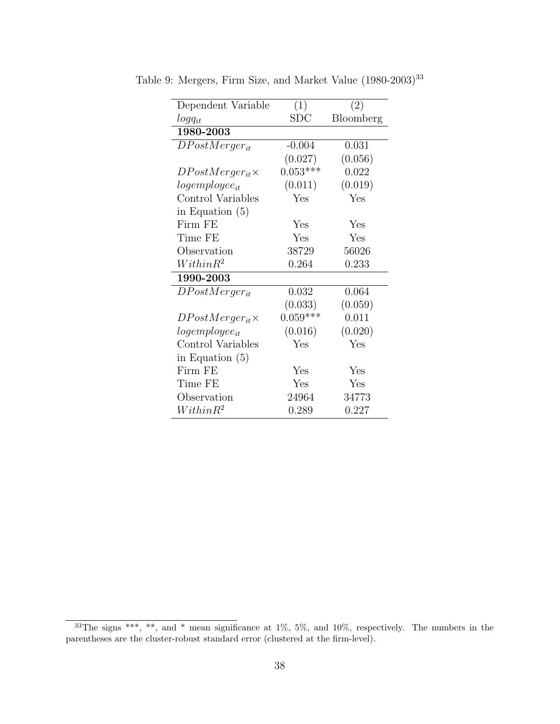| Dependent Variable       | (1)          | (2)       |
|--------------------------|--------------|-----------|
| $logq_{it}$              | $_{\rm SDC}$ | Bloomberg |
| 1980-2003                |              |           |
| $DPostMerge_{it}$        | $-0.004$     | 0.031     |
|                          | (0.027)      | (0.056)   |
| $DPostMerge_{it}$ ×      | $0.053***$   | 0.022     |
| $logemplope_{it}$        | (0.011)      | (0.019)   |
| Control Variables        | Yes          | Yes       |
| in Equation $(5)$        |              |           |
| Firm FE                  | Yes          | Yes       |
| Time FE                  | Yes          | Yes       |
| Observation              | 38729        | 56026     |
| $With in R^2$            | 0.264        | 0.233     |
| 1990-2003                |              |           |
| $DPostMerge_{it}$        | 0.032        | 0.064     |
|                          | (0.033)      | (0.059)   |
| $DPostMerge_{it} \times$ | $0.059***$   | 0.011     |
| $logemplope_{it}$        | (0.016)      | (0.020)   |
| Control Variables        | Yes          | Yes       |
| in Equation $(5)$        |              |           |
| Firm FE                  | Yes          | Yes       |
| Time FE                  | Yes          | Yes       |
| Observation              | 24964        | 34773     |
| $With in R^2$            | 0.289        | 0.227     |

Table 9: Mergers, Firm Size, and Market Value  $(1980-2003)^{33}$ 

 $33$ The signs \*\*\*, \*\*, and \* mean significance at 1%, 5%, and 10%, respectively. The numbers in the parentheses are the cluster-robust standard error (clustered at the firm-level).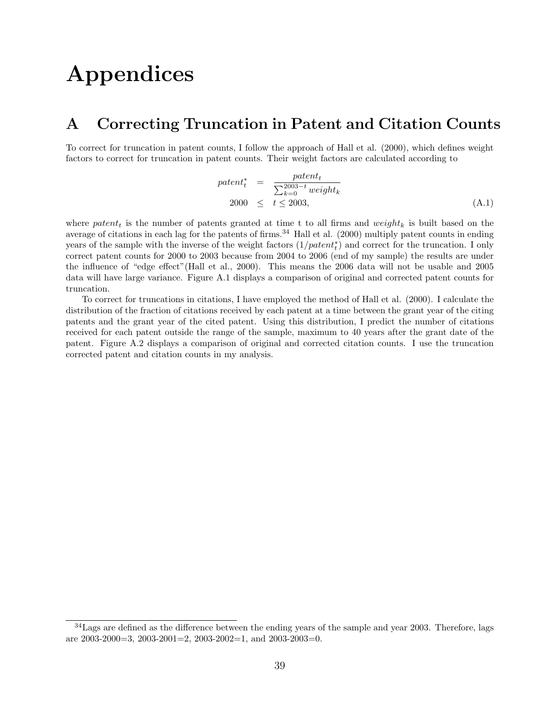# Appendices

## A Correcting Truncation in Patent and Citation Counts

To correct for truncation in patent counts, I follow the approach of Hall et al. (2000), which defines weight factors to correct for truncation in patent counts. Their weight factors are calculated according to

$$
pattern_t^* = \frac{pattern_t}{\sum_{k=0}^{2003-t}weight_k}
$$
  
2000 \le t \le 2003, (A.1)

where  $pattern_t$  is the number of patents granted at time t to all firms and  $weight_k$  is built based on the average of citations in each lag for the patents of firms.<sup>34</sup> Hall et al. (2000) multiply patent counts in ending years of the sample with the inverse of the weight factors  $(1/paten_t^*)$  and correct for the truncation. I only correct patent counts for 2000 to 2003 because from 2004 to 2006 (end of my sample) the results are under the influence of "edge effect"(Hall et al., 2000). This means the 2006 data will not be usable and 2005 data will have large variance. Figure A.1 displays a comparison of original and corrected patent counts for truncation.

To correct for truncations in citations, I have employed the method of Hall et al. (2000). I calculate the distribution of the fraction of citations received by each patent at a time between the grant year of the citing patents and the grant year of the cited patent. Using this distribution, I predict the number of citations received for each patent outside the range of the sample, maximum to 40 years after the grant date of the patent. Figure A.2 displays a comparison of original and corrected citation counts. I use the truncation corrected patent and citation counts in my analysis.

 $34$ Lags are defined as the difference between the ending years of the sample and year 2003. Therefore, lags are 2003-2000=3, 2003-2001=2, 2003-2002=1, and 2003-2003=0.